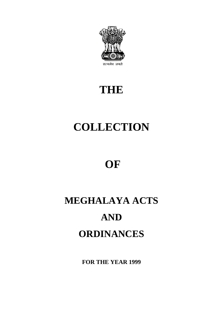

# **THE**

# **COLLECTION**

# **OF**

# **MEGHALAYA ACTS AND ORDINANCES**

**FOR THE YEAR 1999**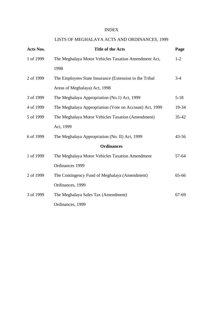#### INDEX

### LISTS OF MEGHALAYA ACTS AND ORDINANCES, 1999

| Acts Nos. | <b>Title of the Acts</b>                                | Page      |
|-----------|---------------------------------------------------------|-----------|
| 1 of 1999 | The Meghalaya Motor Vehicles Taxation Amendment Act,    | $1 - 2$   |
|           | 1998                                                    |           |
| 2 of 1999 | The Employees State Insurance (Extension to the Tribal  | $3-4$     |
|           | Areas of Meghalaya) Act, 1998                           |           |
| 3 of 1999 | The Meghalaya Appropriation (No.1) Act, 1999            | $5 - 18$  |
| 4 of 1999 | The Meghalaya Appropriation (Vote on Account) Act, 1999 | 19-34     |
| 5 of 1999 | The Meghalaya Motor Vehicles Taxation (Amendment)       | $35 - 42$ |
|           | Act, 1999                                               |           |
| 6 of 1999 | The Meghalaya Appropriation (No. II) Act, 1999          | $43 - 56$ |
|           | <b>Ordinances</b>                                       |           |
| 1 of 1999 | The Meghalaya Motor Vehicles Taxation Amendment         | 57-64     |
|           | Ordinances 1999                                         |           |
| 2 of 1999 | The Contingency Fund of Meghalaya (Amendment)           | 65-66     |
|           | Ordinances, 1999                                        |           |
| 3 of 1999 | The Meghalaya Sales Tax (Amendment)                     | 67-69     |
|           | Ordinances, 1999                                        |           |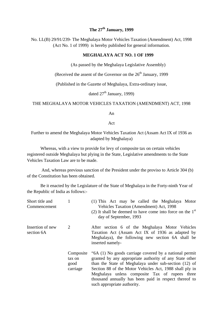### **The 27th January, 1999**

No. LL(B) 29/91/239- The Meghalaya Motor Vehicles Taxation (Amendment) Act, 1998 (Act No. 1 of 1999) is hereby published for general information.

#### **MEGHALAYA ACT NO. 1 OF 1999**

(As passed by the Meghalaya Legislative Assembly)

(Received the assent of the Governor on the  $26<sup>th</sup>$  January, 1999)

(Published in the Gazette of Meghalaya, Extra-ordinary issue,

dated  $27<sup>th</sup>$  January, 1999)

#### THE MEGHALAYA MOTOR VEHICLES TAXATION (AMENDMENT) ACT, 1998

An

Act

Further to amend the Meghalaya Motor Vehicles Taxation Act (Assam Act IX of 1936 as adapted by Meghalaya)

Whereas, with a view to provide for levy of composite tax on certain vehicles registered outside Meghalaya but plying in the State, Legislative amendments to the State Vehicles Taxation Law are to be made.

And, whereas previous sanction of the President under the proviso to Article 304 (b) of the Constitution has been obtained.

Be it enacted by the Legislature of the State of Meghalaya in the Forty-ninth Year of the Republic of India as follows:-

| Short title and<br>Commencement |                                         | (1) This Act may be called the Meghalaya Motor<br>Vehicles Taxation (Amendment) Act, 1998<br>(2) It shall be deemed to have come into force on the $1st$<br>day of September, 1993                                                                                                                                                                                              |
|---------------------------------|-----------------------------------------|---------------------------------------------------------------------------------------------------------------------------------------------------------------------------------------------------------------------------------------------------------------------------------------------------------------------------------------------------------------------------------|
| Insertion of new<br>section 6A  | 2                                       | After section 6 of the Meghalaya Motor Vehicles<br>Taxation Act (Assam Act IX of 1936 as adapted by<br>Meghalaya), the following new section 6A shall be<br>inserted namely-                                                                                                                                                                                                    |
|                                 | Composite<br>tax on<br>good<br>carriage | "6A (1) No goods carriage covered by a national permit<br>granted by any appropriate authority of any State other<br>than the State of Meghalaya under sub-section (12) of<br>Section 88 of the Motor Vehicles Act, 1988 shall ply in<br>Meghalaya unless composite Tax of rupees three<br>thousand annually has been paid in respect thereof to<br>such appropriate authority. |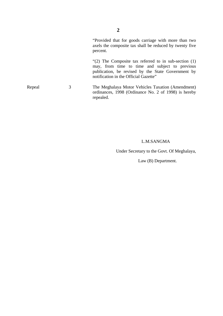"Provided that for goods carriage with more than two axels the composite tax shall be reduced by twenty five percent.

"(2) The Composite tax referred to in sub-section (1) may, from time to time and subject to previous publication, be revised by the State Government by notification in the Official Gazette"

Repeal 3 The Meghalaya Motor Vehicles Taxation (Amendment) ordinances, 1998 (Ordinance No. 2 of 1998) is hereby repealed.

#### L.M.SANGMA

Under Secretary to the Govt. Of Meghalaya,

Law (B) Department.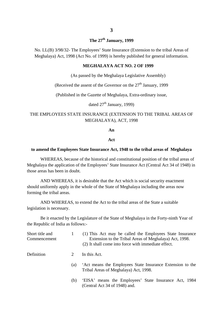#### **The 27th January, 1999**

No. LL(B) 3/98/32- The Employees' State Insurance (Extension to the tribal Areas of Meghalaya) Act, 1998 (Act No. of 1999) is hereby published for general information.

#### **MEGHALAYA ACT NO. 2 OF 1999**

(As passed by the Meghalaya Legislative Assembly)

(Received the assent of the Governor on the  $27<sup>th</sup>$  January, 1999

(Published in the Gazette of Meghalaya, Extra-ordinary issue,

dated  $27<sup>th</sup>$  January, 1999)

#### THE EMPLOYEES STATE INSURANCE (EXTENSION TO THE TRIBAL AREAS OF MEGHALAYA), ACT, 1998

**An**

#### **Act**

#### **to amend the Employees State Insurance Act, 1948 to the tribal areas of Meghalaya**

WHEREAS, because of the historical and constitutional position of the tribal areas of Meghalaya the application of the Employees' State Insurance Act (Central Act 34 of 1948) in those areas has been in doubt.

AND WHEREAS, it is desirable that the Act which is social security enactment should uniformly apply in the whole of the State of Meghalaya including the areas now forming the tribal areas.

AND WHEREAS, to extend the Act to the tribal areas of the State a suitable legislation is necessary.

Be it enacted by the Legislature of the State of Meghalaya in the Forty-ninth Year of the Republic of India as follows:-

| Short title and<br>Commencement |     | (1) This Act may be called the Employees State Insurance<br>Extension to the Tribal Areas of Meghalaya) Act, 1998.<br>(2) It shall come into force with immediate effect. |
|---------------------------------|-----|---------------------------------------------------------------------------------------------------------------------------------------------------------------------------|
| Definition                      | 2   | In this Act.                                                                                                                                                              |
|                                 | (a) | Act means the Employees State Insurance Extension to the<br>Tribal Areas of Meghalaya) Act, 1998.                                                                         |
|                                 | (b) | 'EISA' means the Employees' State Insurance Act, 1984<br>(Central Act 34 of 1948) and.                                                                                    |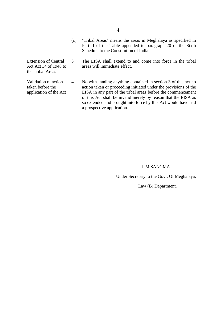- (c) 'Tribal Areas' means the areas in Meghalaya as specified in Part II of the Table appended to paragraph 20 of the Sixth Schedule to the Constitution of India.
- Extension of Central Act Act 34 of 1948 to the Tribal Areas 3 The EISA shall extend to and come into force in the tribal areas will immediate effect.
- Validation of action taken before the application of the Act 4 Notwithstanding anything contained in section 3 of this act no action taken or proceeding initiated under the provisions of the EISA in any part of the tribal areas before the commencement of this Act shall be invalid merely by reason that the EISA as so extended and brought into force by this Act would have had a prospective application.

#### L.M.SANGMA

Under Secretary to the Govt. Of Meghalaya,

Law (B) Department.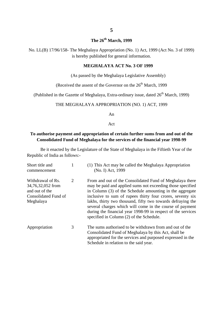### **The 26th March, 1999**

No. LL(B) 17/96/158- The Meghalaya Appropriation (No. 1) Act, 1999 (Act No. 3 of 1999) is hereby published for general information.

#### **MEGHALAYA ACT No. 3 OF 1999**

(As passed by the Meghalaya Legislative Assembly)

(Received the assent of the Governor on the  $26<sup>th</sup>$  March, 1999

(Published in the Gazette of Meghalaya, Extra-ordinary issue, dated  $26<sup>th</sup>$  March, 1999)

#### THE MEGHALAYA APPROPRIATION (NO. 1) ACT, 1999

An

Act

#### **To authorise payment and appropriation of certain further sums from and out of the Consolidated Fund of Meghalaya for the services of the financial year 1998-99**

Be it enacted by the Legislature of the State of Meghalaya in the Fiftieth Year of the Republic of India as follows:-

| Short title and<br>commencement                                                               |   | (1) This Act may be called the Meghalaya Appropriation<br>(No. I) Act, 1999                                                                                                                                                                                                                                                                                                                                                                                                             |
|-----------------------------------------------------------------------------------------------|---|-----------------------------------------------------------------------------------------------------------------------------------------------------------------------------------------------------------------------------------------------------------------------------------------------------------------------------------------------------------------------------------------------------------------------------------------------------------------------------------------|
| Withdrawal of Rs.<br>34,76,32,052 from<br>and out of the<br>Consolidated Fund of<br>Meghalaya | 2 | From and out of the Consolidated Fund of Meghalaya there<br>may be paid and applied sums not exceeding those specified<br>in Column (3) of the Schedule amounting in the aggregate<br>inclusive to sum of rupees thirty four crores, seventy six<br>lakhs, thirty two thousand, fifty two towards defraying the<br>several charges which will come in the course of payment<br>during the financial year 1998-99 in respect of the services<br>specified in Column (2) of the Schedule. |
| Appropriation                                                                                 | 3 | The sums authorised to be withdrawn from and out of the<br>Consolidated Fund of Meghalaya by this Act, shall be<br>appropriated for the services and purposed expressed in the<br>Schedule in relation to the said year.                                                                                                                                                                                                                                                                |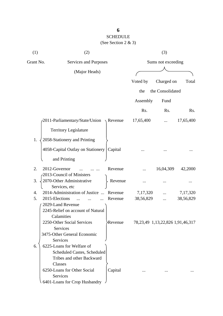| (1)       | (2)                                                     |                  |            | (3)                                      |           |
|-----------|---------------------------------------------------------|------------------|------------|------------------------------------------|-----------|
| Grant No. | Services and Purposes                                   |                  |            | Sums not exceeding                       |           |
|           | (Major Heads)                                           |                  |            |                                          |           |
|           |                                                         |                  | Voted by   | Charged on                               | Total     |
|           |                                                         |                  | the        | the Consolidated                         |           |
|           |                                                         |                  |            |                                          |           |
|           |                                                         |                  | Assembly   | Fund                                     |           |
|           |                                                         |                  | Rs.        | Rs.                                      | Rs.       |
|           | 2011-Parliamentary/State/Union                          | $\sqrt{$ Revenue | 17,65,400  |                                          | 17,65,400 |
|           | <b>Territory Legislature</b>                            |                  |            |                                          |           |
| 1.        | 2058-Stationery and Printing                            |                  |            |                                          |           |
|           | 4058-Capital Outlay on Stationery                       | Capital          |            |                                          |           |
|           | and Printing                                            |                  |            |                                          |           |
| 2.        | 2012-Governor                                           | Revenue          |            | 16,04,309                                | 42,2000   |
| 3.        | -2013-Council of Ministers<br>2070-Other Administrative | Revenue          |            |                                          |           |
|           | Services, etc                                           |                  |            |                                          |           |
| 4.        | 2014-Administration of Justice                          | Revenue          | 7, 17, 320 |                                          | 7,17,320  |
| 5.        | 2015-Elections                                          | Revenue          | 38,56,829  |                                          | 38,56,829 |
|           | 2029-Land Revenue                                       |                  |            |                                          |           |
|           | 2245-Relief on account of Natural                       |                  |            |                                          |           |
|           | Calamities                                              |                  |            |                                          |           |
|           | 2250-Other Social Services                              | <b>Revenue</b>   |            | 78, 23, 49 1, 13, 22, 826 1, 91, 46, 317 |           |
|           | Services<br>3475-Other General Economic                 |                  |            |                                          |           |
|           | Services                                                |                  |            |                                          |           |
| 6.        | 6225-Loans for Welfare of                               |                  |            |                                          |           |
|           | <b>Scheduled Castes, Scheduled</b>                      |                  |            |                                          |           |
|           | Tribes and other Backward                               |                  |            |                                          |           |
|           | Classes                                                 |                  |            |                                          |           |
|           | 6250-Loans for Other Social                             | Capital          |            |                                          |           |
|           | Services                                                |                  |            |                                          |           |
|           | 6401-Loans for Crop Husbandry                           |                  |            |                                          |           |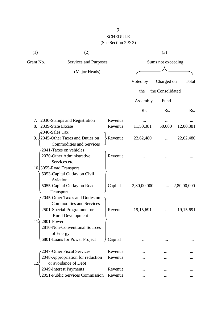| (1)               | (2)                                         |         |                    | (3)              |             |  |
|-------------------|---------------------------------------------|---------|--------------------|------------------|-------------|--|
| Grant No.         | Services and Purposes                       |         | Sums not exceeding |                  |             |  |
| (Major Heads)     |                                             |         |                    |                  |             |  |
|                   |                                             |         | Voted by           | Charged on       | Total       |  |
|                   |                                             |         | the                | the Consolidated |             |  |
|                   |                                             |         | Assembly           | Fund             |             |  |
|                   |                                             |         | Rs.                | Rs.              | Rs.         |  |
| 7.                | 2030-Stamps and Registration                | Revenue |                    |                  |             |  |
| 8.                | 2039-State Excise                           | Revenue | 11,50,381          | 50,000           | 12,00,381   |  |
| 2040-Sales Tax    |                                             |         |                    |                  |             |  |
|                   | 9. $\sqrt{2045}$ -Other Taxes and Duties on | Revenue | 22,62,480          |                  | 22,62,480   |  |
|                   | <b>Commodities and Services</b>             |         |                    |                  |             |  |
|                   | 2041-Taxes on vehicles                      |         |                    |                  |             |  |
|                   | 2070-Other Administrative<br>Services etc   | Revenue |                    |                  |             |  |
|                   | 10.3055-Road Transport                      |         |                    |                  |             |  |
|                   | 5053-Capital Outlay on Civil                |         |                    |                  |             |  |
|                   | Aviation                                    |         |                    |                  |             |  |
|                   | 5055-Capital Outlay on Road                 | Capital | 2,80,00,000        |                  | 2,80,00,000 |  |
|                   | Transport                                   |         |                    |                  |             |  |
|                   | 2045-Other Taxes and Duties on              |         |                    |                  |             |  |
|                   | <b>Commodities and Services</b>             |         |                    |                  |             |  |
|                   | 2501-Special Programme for                  | Revenue | 19,15,691          |                  | 19,15,691   |  |
|                   | <b>Rural Development</b>                    |         |                    |                  |             |  |
| 2801-Power<br>11. |                                             |         |                    |                  |             |  |
|                   | 2810-Non-Conventional Sources               |         |                    |                  |             |  |
|                   | of Energy<br>6801-Loans for Power Project   | Capital |                    |                  |             |  |
|                   |                                             |         |                    |                  |             |  |
|                   | 2047-Other Fiscal Services                  | Revenue |                    |                  |             |  |
|                   | 2048-Appropriation for reduction            | Revenue |                    |                  |             |  |
| $12\lambda$       | or avoidance of Debt                        |         |                    |                  |             |  |
|                   | 2049-Interest Payments                      | Revenue |                    |                  |             |  |
|                   | 2051-Public Services Commission             | Revenue |                    |                  |             |  |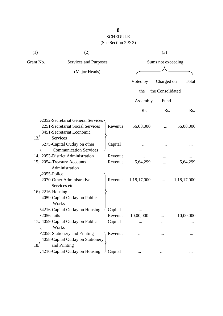| (1)                      | (2)                                                                               |         |                    | (3)              |                  |
|--------------------------|-----------------------------------------------------------------------------------|---------|--------------------|------------------|------------------|
| Grant No.                | Services and Purposes                                                             |         | Sums not exceeding |                  |                  |
|                          | (Major Heads)                                                                     |         |                    |                  |                  |
|                          |                                                                                   |         | Voted by           | Charged on       | Total            |
|                          |                                                                                   |         | the                | the Consolidated |                  |
|                          |                                                                                   |         | Assembly           | Fund             |                  |
|                          |                                                                                   |         | Rs.                | Rs.              | R <sub>s</sub> . |
|                          | 2052-Secretariat General Services                                                 |         |                    |                  |                  |
|                          | 2251-Secretariat Social Services<br>3451-Secretariat Economic                     | Revenue | 56,08,000          |                  | 56,08,000        |
| 13.                      | Services<br>5275-Capital Outlay on other<br><b>Communication Services</b>         | Capital |                    |                  |                  |
|                          | 14. 2053-District Administration                                                  | Revenue |                    |                  |                  |
|                          | 15. 2054-Treasury Accounts                                                        | Revenue | 5,64,299           |                  | 5,64,299         |
| 2055-Police              | Administration                                                                    |         |                    |                  |                  |
|                          | 2070-Other Administrative<br>Services etc                                         | Revenue | 1,18,17,000        |                  | 1,18,17,000      |
| $16\sqrt{2216}$ -Housing | 4059-Capital Outlay on Public<br>Works                                            |         |                    |                  |                  |
|                          | 4216-Capital Outlay on Housing                                                    | Capital |                    |                  |                  |
| $\sqrt{2056}$ -Jails     |                                                                                   | Revenue | 10,00,000          |                  | 10,00,000        |
|                          | 17, 4059-Capital Outlay on Public<br>Works                                        | Capital |                    |                  |                  |
| 18.                      | 2058-Stationery and Printing<br>4058-Capital Outlay on Stationery<br>and Printing | Revenue |                    |                  |                  |
|                          | 4216-Capital Outlay on Housing                                                    | Capital |                    |                  |                  |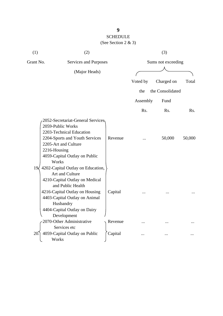| (1)    | (2)                                                                                                                                                                                                                                        |         |                    | (3)              |                  |
|--------|--------------------------------------------------------------------------------------------------------------------------------------------------------------------------------------------------------------------------------------------|---------|--------------------|------------------|------------------|
|        | Grant No.<br>Services and Purposes                                                                                                                                                                                                         |         | Sums not exceeding |                  |                  |
|        | (Major Heads)                                                                                                                                                                                                                              |         |                    |                  |                  |
|        |                                                                                                                                                                                                                                            |         | Voted by           | Charged on       | Total            |
|        |                                                                                                                                                                                                                                            |         | the                | the Consolidated |                  |
|        |                                                                                                                                                                                                                                            |         |                    |                  |                  |
|        |                                                                                                                                                                                                                                            |         | Assembly           | Fund             |                  |
|        |                                                                                                                                                                                                                                            |         | Rs.                | Rs.              | R <sub>s</sub> . |
|        | 2052-Secretariat-General Services<br>2059-Public Works<br>2203-Technical Education<br>2204-Sports and Youth Services<br>2205-Art and Culture<br>2216-Housing<br>4059-Capital Outlay on Public<br>Works                                     | Revenue |                    | 50,000           | 50,000           |
| 19<    | 4202-Capital Outlay on Education,<br>Art and Culture<br>4210-Capital Outlay on Medical<br>and Public Health<br>4216-Capital Outlay on Housing<br>4403-Capital Outlay on Animal<br>Husbandry<br>4404-Capital Outlay on Dairy<br>Development | Capital |                    |                  |                  |
|        | 2070-Other Administrative                                                                                                                                                                                                                  | Revenue |                    |                  |                  |
| $20$ . | Services etc<br>4059-Capital Outlay on Public<br>Works                                                                                                                                                                                     | Capital |                    |                  |                  |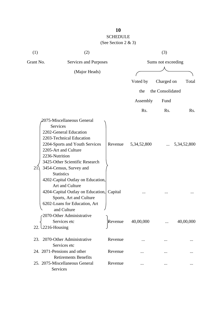| (1)       | (2)                                                                                                                                                                                                                                                               |         |                  | (3)                |                      |
|-----------|-------------------------------------------------------------------------------------------------------------------------------------------------------------------------------------------------------------------------------------------------------------------|---------|------------------|--------------------|----------------------|
| Grant No. | Services and Purposes                                                                                                                                                                                                                                             |         |                  | Sums not exceeding |                      |
|           | (Major Heads)                                                                                                                                                                                                                                                     |         |                  |                    |                      |
|           |                                                                                                                                                                                                                                                                   |         | Voted by         | Charged on         | Total                |
|           |                                                                                                                                                                                                                                                                   |         | the              | the Consolidated   |                      |
|           |                                                                                                                                                                                                                                                                   |         | Assembly         | Fund               |                      |
|           |                                                                                                                                                                                                                                                                   |         | R <sub>s</sub> . | Rs.                | Rs.                  |
| 21        | 2075-Miscellaneous General<br><b>Services</b><br>2202-General Education<br>2203-Technical Education<br>2204-Sports and Youth Services<br>2205-Art and Culture<br>2236-Nutrition<br>3425-Other Scientific Research<br>3454-Census, Survey and<br><b>Statistics</b> | Revenue | 5, 34, 52, 800   |                    | $\ldots$ 5,34,52,800 |
|           | 4202-Capital Outlay on Education,<br>Art and Culture<br>4204-Capital Outlay on Education, Capital<br>Sports, Art and Culture<br>6202-Loans for Education, Art<br>and Culture                                                                                      |         |                  |                    |                      |
|           | c2070-Other Administrative<br>Services etc<br>22. $\frac{2216}{H}$                                                                                                                                                                                                | Revenue | 40,00,000        |                    | 40,00,000            |
|           | 23. 2070-Other Administrative<br>Services etc                                                                                                                                                                                                                     | Revenue |                  |                    |                      |
|           | 24. 2071-Pensions and other                                                                                                                                                                                                                                       | Revenue |                  |                    |                      |
|           | <b>Retirements Benefits</b><br>25. 2075-Miscellaneous General<br>Services                                                                                                                                                                                         | Revenue |                  |                    |                      |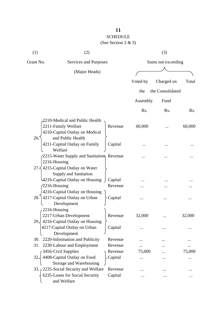# SCHEDULE

(See Section 2 & 3)

| (1)                  | (2)                                                                                                |         |          | (3)                |        |  |  |
|----------------------|----------------------------------------------------------------------------------------------------|---------|----------|--------------------|--------|--|--|
| Grant No.            | Services and Purposes                                                                              |         |          | Sums not exceeding |        |  |  |
|                      | (Major Heads)                                                                                      |         |          |                    |        |  |  |
|                      |                                                                                                    |         | Voted by | Charged on         | Total  |  |  |
|                      |                                                                                                    |         | the      | the Consolidated   |        |  |  |
|                      |                                                                                                    |         | Assembly | Fund               |        |  |  |
|                      |                                                                                                    |         | Rs.      | Rs.                | Rs.    |  |  |
|                      | 2210-Medical and Public Health                                                                     |         |          |                    |        |  |  |
|                      | 2211-Family Welfare<br>4210-Capital Outlay on Medical                                              | Revenue | 60,000   |                    | 60,000 |  |  |
| 26.                  | and Public Health<br>4211-Capital Outlay on Family<br>Welfare                                      | Capital |          |                    |        |  |  |
| 2216-Housing<br>27.5 | 2215-Water Supply and Sanitation, Revenue<br>4215-Capital Outlay on Water<br>Supply and Sanitation |         |          |                    |        |  |  |
|                      | 4216-Capital Outlay on Housing                                                                     | Capital |          |                    |        |  |  |
| 2216-Housing         |                                                                                                    | Revenue |          |                    |        |  |  |
| 28.                  | 4216-Capital Outlay on Housing<br>4217-Capital Outlay on Urban<br>Development                      | Capital |          |                    |        |  |  |
| 2216-Housing<br>29.  | 2217-Urban Development<br>4216-Capital Outlay on Housing                                           | Revenue | 32,000   |                    | 32,000 |  |  |
|                      | 4217-Capital Outlay on Urban<br>Development                                                        | Capital |          |                    |        |  |  |
|                      | 30. 2220-Information and Publicity                                                                 | Revenue |          |                    |        |  |  |
| 31.                  | 2230-Labour and Employment                                                                         | Revenue | .        |                    |        |  |  |
|                      | 3456-Civil Supplies                                                                                | Revenue | 75,000   |                    | 75,000 |  |  |
| 32.                  | 4408-Capital Outlay on Food<br>Storage and Warehousing                                             | Capital |          |                    |        |  |  |
|                      | 33. 2235-Social Security and Welfare                                                               | Revenue |          |                    |        |  |  |
|                      | 6235-Loans for Social Security<br>and Welfare                                                      | Capital |          |                    |        |  |  |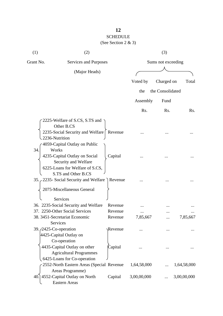# SCHEDULE

| (1)       | (2)                                                                                                                                           |         |                    | (3)              |             |  |
|-----------|-----------------------------------------------------------------------------------------------------------------------------------------------|---------|--------------------|------------------|-------------|--|
| Grant No. | Services and Purposes                                                                                                                         |         | Sums not exceeding |                  |             |  |
|           | (Major Heads)                                                                                                                                 |         |                    |                  |             |  |
|           |                                                                                                                                               |         | Voted by           | Charged on       | Total       |  |
|           |                                                                                                                                               |         | the                | the Consolidated |             |  |
|           |                                                                                                                                               |         | Assembly           | Fund             |             |  |
|           |                                                                                                                                               |         | Rs.                | Rs.              | Rs.         |  |
|           | 2225-Welfare of S.CS, S.TS and<br>Other B.CS<br>2235-Social Security and Welfare   Revenue<br>2236-Nutrition<br>4059-Capital Outlay on Public |         |                    |                  |             |  |
| 34.       | Works<br>4235-Capital Outlay on Social<br>Security and Welfare<br>6225-Loans for Welfare of S.CS,<br>S.TS and Other B.CS                      | Capital |                    |                  |             |  |
|           | 35. 2235- Social Security and Welfare Revenue<br>2075-Miscellaneous General                                                                   |         |                    |                  |             |  |
|           | Services<br>36. 2235-Social Security and Welfare                                                                                              | Revenue |                    |                  |             |  |
|           | 37. 2250-Other Social Services                                                                                                                | Revenue |                    |                  |             |  |
|           | 38. 3451-Secretariat Economic<br>Services                                                                                                     | Revenue | 7,85,667           |                  | 7,85,667    |  |
|           | 39. <i>(2425-Co-operation</i> )<br>4425-Capital Outlay on<br>Co-operation                                                                     | Revenue |                    |                  |             |  |
|           | 4435-Capital Outlay on other<br><b>Agricultural Programmes</b><br>6425-Loans for Co-operation                                                 | Capital |                    |                  |             |  |
|           | 2552-North Eastern Areas (Special Revenue<br>Areas Programme)                                                                                 |         | 1,64,58,000        |                  | 1,64,58,000 |  |
|           | 40.] 4552-Capital Outlay on North<br><b>Eastern Areas</b>                                                                                     | Capital | 3,00,00,000        |                  | 3,00,00,000 |  |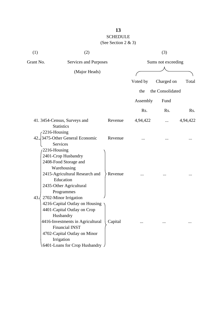| (1)  | (2)                                                                                                                                                                                                                                                   |         |                    | (3)              |          |  |
|------|-------------------------------------------------------------------------------------------------------------------------------------------------------------------------------------------------------------------------------------------------------|---------|--------------------|------------------|----------|--|
|      | Grant No.<br>Services and Purposes                                                                                                                                                                                                                    |         | Sums not exceeding |                  |          |  |
|      | (Major Heads)                                                                                                                                                                                                                                         |         |                    |                  |          |  |
|      |                                                                                                                                                                                                                                                       |         | Voted by           | Charged on       | Total    |  |
|      |                                                                                                                                                                                                                                                       |         | the                | the Consolidated |          |  |
|      |                                                                                                                                                                                                                                                       |         |                    |                  |          |  |
|      |                                                                                                                                                                                                                                                       |         | Assembly           | Fund             |          |  |
|      |                                                                                                                                                                                                                                                       |         | Rs.                | Rs.              | Rs.      |  |
|      | 41. 3454-Census, Surveys and<br><b>Statistics</b>                                                                                                                                                                                                     | Revenue | 4,94,422           |                  | 4,94,422 |  |
| 42.4 | 2216-Housing<br>3475-Other General Economic<br>Services<br>2216-Housing                                                                                                                                                                               | Revenue |                    |                  |          |  |
|      | 2401-Crop Husbandry<br>2408-Food Storage and<br>Warehousing<br>2415-Agricultural Research and<br>Education<br>2435-Other Agricultural<br>Programmes                                                                                                   | Revenue |                    |                  |          |  |
| 43.  | 2702-Minor Irrigation<br>4216-Capital Outlay on Housing<br>4401-Capital Outlay on Crop<br>Husbandry<br>4416-Investments in Agricultural<br><b>Financial INST</b><br>4702-Capital Outlay on Minor<br>Irrigation<br>$.6401$ -Loans for Crop Husbandry J | Capital |                    |                  |          |  |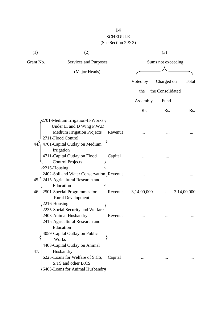# SCHEDULE

| (1)              | (2)                                                         |         |                    | (3)              |             |  |  |
|------------------|-------------------------------------------------------------|---------|--------------------|------------------|-------------|--|--|
| Grant No.        | Services and Purposes                                       |         | Sums not exceeding |                  |             |  |  |
|                  | (Major Heads)                                               |         |                    |                  |             |  |  |
|                  |                                                             |         | Voted by           | Charged on       | Total       |  |  |
|                  |                                                             |         | the                | the Consolidated |             |  |  |
|                  |                                                             |         |                    |                  |             |  |  |
|                  |                                                             |         | Assembly           | Fund             |             |  |  |
|                  |                                                             |         | Rs.                | Rs.              | Rs.         |  |  |
|                  | 2701-Medium Irrigation-II-Works                             |         |                    |                  |             |  |  |
|                  | Under E. and D Wing P.W.D                                   |         |                    |                  |             |  |  |
|                  | <b>Medium Irrigation Projects</b>                           | Revenue |                    |                  |             |  |  |
|                  | 2711-Flood Control                                          |         |                    |                  |             |  |  |
| 44.              | 4701-Capital Outlay on Medium                               |         |                    |                  |             |  |  |
|                  | Irrigation                                                  |         |                    |                  |             |  |  |
|                  | 4711-Capital Outlay on Flood                                | Capital |                    |                  |             |  |  |
|                  | <b>Control Projects</b>                                     |         |                    |                  |             |  |  |
| $-2216$ -Housing |                                                             |         |                    |                  |             |  |  |
|                  | 2402-Soil and Water Conservation Revenue                    |         |                    |                  |             |  |  |
| 45.              | 2415-Agricultural Research and                              |         |                    |                  |             |  |  |
|                  | Education                                                   | Revenue |                    |                  |             |  |  |
|                  | 46. 2501-Special Programmes for<br><b>Rural Development</b> |         | 3,14,00,000        |                  | 3,14,00,000 |  |  |
|                  | $-2216$ -Housing                                            |         |                    |                  |             |  |  |
|                  | 2235-Social Security and Welfare                            |         |                    |                  |             |  |  |
|                  | 2403-Animal Husbandry                                       | Revenue |                    |                  |             |  |  |
|                  | 2415-Agricultural Research and                              |         |                    |                  |             |  |  |
|                  | Education                                                   |         |                    |                  |             |  |  |
|                  | 4059-Capital Outlay on Public                               |         |                    |                  |             |  |  |
|                  | Works                                                       |         |                    |                  |             |  |  |
|                  | 4403-Capital Outlay on Animal                               |         |                    |                  |             |  |  |
| 47.              | Husbandry                                                   |         |                    |                  |             |  |  |
|                  | 6225-Loans for Welfare of S.CS,                             | Capital |                    |                  |             |  |  |
|                  | S.TS and other B.CS                                         |         |                    |                  |             |  |  |
|                  | 6403-Loans for Animal Husbandry                             |         |                    |                  |             |  |  |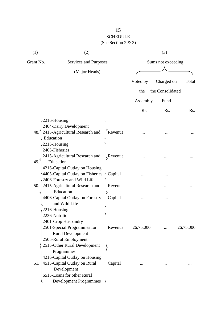# SCHEDULE

| (1)       | (2)                                            |         |                    | (3)              |           |  |
|-----------|------------------------------------------------|---------|--------------------|------------------|-----------|--|
| Grant No. | Services and Purposes                          |         | Sums not exceeding |                  |           |  |
|           | (Major Heads)                                  |         |                    |                  |           |  |
|           |                                                |         | Voted by           | Charged on       | Total     |  |
|           |                                                |         | the                | the Consolidated |           |  |
|           |                                                |         |                    |                  |           |  |
|           |                                                |         | Assembly           | Fund             |           |  |
|           |                                                |         | Rs.                | Rs.              | Rs.       |  |
|           | $-2216$ -Housing                               |         |                    |                  |           |  |
|           | 2404-Dairy Development                         |         |                    |                  |           |  |
| 48.       | 2415-Agricultural Research and                 | Revenue |                    |                  |           |  |
|           | Education                                      |         |                    |                  |           |  |
|           | 2216-Housing                                   |         |                    |                  |           |  |
|           | 2405-Fisheries                                 |         |                    |                  |           |  |
|           | 2415-Agricultural Research and                 | Revenue |                    |                  |           |  |
| 49.       | Education                                      |         |                    |                  |           |  |
|           | 4216-Capital Outlay on Housing                 |         |                    |                  |           |  |
|           | 4405-Capital Outlay on Fisheries $\frac{1}{2}$ | Capital |                    |                  |           |  |
|           | -2406-Forestry and Wild Life                   |         |                    |                  |           |  |
| 50.       | 2415-Agricultural Research and<br>Education    | Revenue |                    |                  |           |  |
|           | 4406-Capital Outlay on Forestry                | Capital |                    |                  |           |  |
|           | and Wild Life                                  |         |                    |                  |           |  |
|           | 2216-Housing                                   |         |                    |                  |           |  |
|           | 2236-Nutrition                                 |         |                    |                  |           |  |
|           | 2401-Crop Husbandry                            |         |                    |                  |           |  |
|           | 2501-Special Programmes for                    | Revenue | 26,75,000          |                  | 26,75,000 |  |
|           | <b>Rural Development</b>                       |         |                    |                  |           |  |
|           | 2505-Rural Employment                          |         |                    |                  |           |  |
|           | 2515-Other Rural Development                   |         |                    |                  |           |  |
|           | Programmes                                     |         |                    |                  |           |  |
|           | 4216-Capital Outlay on Housing                 |         |                    |                  |           |  |
| 51.       | 4515-Capital Outlay on Rural                   | Capital |                    |                  |           |  |
|           | Development                                    |         |                    |                  |           |  |
|           | 6515-Loans for other Rural                     |         |                    |                  |           |  |
|           | <b>Development Programmes</b>                  |         |                    |                  |           |  |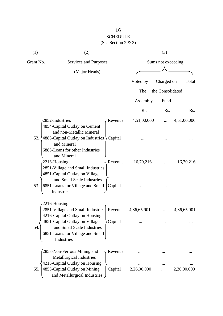# SCHEDULE

| (1)       | (2)                                                                                                                          | (3)         |                    |             |  |  |
|-----------|------------------------------------------------------------------------------------------------------------------------------|-------------|--------------------|-------------|--|--|
| Grant No. | Services and Purposes                                                                                                        |             | Sums not exceeding |             |  |  |
|           | (Major Heads)                                                                                                                |             |                    |             |  |  |
|           |                                                                                                                              | Voted by    | Charged on         | Total       |  |  |
|           |                                                                                                                              | The         | the Consolidated   |             |  |  |
|           |                                                                                                                              | Assembly    | Fund               |             |  |  |
|           |                                                                                                                              | Rs.         | Rs.                | Rs.         |  |  |
|           | 2852-Industries<br>Revenue<br>4854-Capital Outlay on Cement<br>and non-Metallic Mineral                                      | 4,51,00,000 | $\cdots$           | 4,51,00,000 |  |  |
| 52.4      | 4885-Capital Outlay on Industries > Capital<br>and Mineral<br>6885-Loans for other Industries<br>and Mineral                 |             |                    |             |  |  |
|           | 2216-Housing<br>Revenue<br>2851-Village and Small Industries<br>4851-Capital Outlay on Village<br>and Small Scale Industries | 16,70,216   |                    | 16,70,216   |  |  |
| 53.       | 6851-Loans for Village and Small<br>Capital<br>Industries                                                                    |             |                    |             |  |  |
|           | $-2216$ -Housing<br>2851-Village and Small Industries<br>Revenue<br>4216-Capital Outlay on Housing                           | 4,86,65,901 |                    | 4,86,65,901 |  |  |
| 54        | 4851-Capital Outlay on Village<br>Capital<br>and Small Scale Industries<br>6851-Loans for Village and Small<br>Industries    |             |                    |             |  |  |
|           | 2853-Non-Ferrous Mining and<br>Revenue<br>Metallurgical Industries<br>4216-Capital Outlay on Housing                         |             |                    |             |  |  |
| 55.       | 4853-Capital Outlay on Mining<br>Capital<br>and Metallurgical Industries                                                     | 2,26,00,000 |                    | 2,26,00,000 |  |  |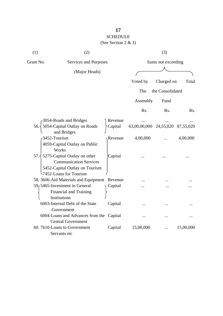| (1)  | (2)                                             |         |                                  | (3)              |           |  |
|------|-------------------------------------------------|---------|----------------------------------|------------------|-----------|--|
|      | Grant No.<br>Services and Purposes              |         | Sums not exceeding               |                  |           |  |
|      | (Major Heads)                                   |         |                                  |                  |           |  |
|      |                                                 |         | Voted by                         | Charged on       | Total     |  |
|      |                                                 |         |                                  |                  |           |  |
|      |                                                 |         | The                              | the Consolidated |           |  |
|      |                                                 |         | Assembly                         | Fund             |           |  |
|      |                                                 |         | Rs.                              | Rs.              | Rs.       |  |
|      | 3054-Roads and Bridges                          | Revenue |                                  |                  |           |  |
|      | 56. 5054-Capital Outlay on Roads<br>and Bridges | Capital | 63,00,00,000 24,55,020 87,55,020 |                  |           |  |
|      | 3452-Tourism                                    | Revenue | 4,00,000                         |                  | 4,00,000  |  |
|      | 4059-Capital Outlay on Public<br>Works          |         |                                  |                  |           |  |
| 57.3 | 5275-Capital Outlay on other                    | Capital |                                  |                  |           |  |
|      | <b>Communication Services</b>                   |         |                                  |                  |           |  |
|      | 5452-Capital Outlay on Tourism                  |         |                                  |                  |           |  |
|      | 57452-Loans for Tourism                         |         |                                  |                  |           |  |
|      | 58. 3606-Aid Materials and Equipment Revenue    |         |                                  |                  |           |  |
|      | 59, 5465-Investment in General                  | Capital |                                  |                  |           |  |
|      | Financial and Training                          |         |                                  |                  |           |  |
|      | Institutions                                    |         |                                  |                  |           |  |
|      | 6003-Internal Debt of the State                 | Capital | $\ddotsc$                        |                  |           |  |
|      | Government                                      |         |                                  |                  |           |  |
|      | 6004-Loans and Advances from the Capital        |         |                                  |                  |           |  |
|      | <b>Central Government</b>                       |         |                                  |                  |           |  |
|      | 60.7610-Loans to Government                     | Capital | 15,00,000                        |                  | 15,00,000 |  |
|      | Servants etc                                    |         |                                  |                  |           |  |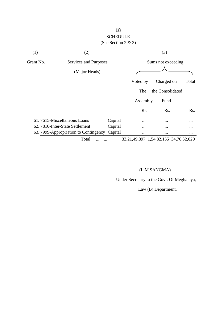### (See Section 2 & 3)

| (1)       | (2)                                   |         |                                                | (3)                |          |
|-----------|---------------------------------------|---------|------------------------------------------------|--------------------|----------|
| Grant No. | Services and Purposes                 |         |                                                | Sums not exceeding |          |
|           | (Major Heads)                         |         |                                                |                    |          |
|           |                                       |         | Voted by                                       | Charged on         | Total    |
|           |                                       |         | The                                            | the Consolidated   |          |
|           |                                       |         | Assembly                                       | Fund               |          |
|           |                                       |         | Rs.                                            | Rs.                | Rs.      |
|           | 61.7615-Miscellaneous Loans           | Capital | $\cdots$                                       | $\cdots$           | $\cdots$ |
|           | 62. 7810-Inter-State Settlement       | Capital |                                                | $\ddotsc$          | $\cdots$ |
|           | 63. 7999-Appropriation to Contingency | Capital | $\cdots$                                       | $\cdots$           | $\cdots$ |
|           | Total                                 |         | 33, 21, 49, 897 1, 54, 82, 155 34, 76, 32, 020 |                    |          |

### (L.M.SANGMA)

Under Secretary to the Govt. Of Meghalaya,

Law (B) Department.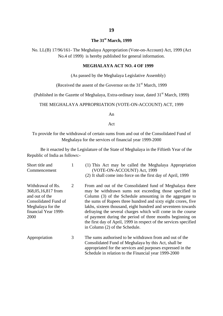### **The 31st March, 1999**

No. LL(B) 17/96/161- The Meghalaya Appropriation (Vote-on-Account) Act, 1999 (Act No.4 of 1999) is hereby published for general information.

#### **MEGHALAYA ACT NO. 4 OF 1999**

(As passed by the Meghalaya Legislative Assembly)

(Received the assent of the Governor on the  $31<sup>st</sup>$  March, 1999

(Published in the Gazette of Meghalaya, Extra-ordinary issue, dated  $31<sup>st</sup>$  March, 1999)

#### THE MEGHALAYA APPROPRIATION (VOTE-ON-ACCOUNT) ACT, 1999

An

Act

#### To provide for the withdrawal of certain sums from and out of the Consolidated Fund of Meghalaya for the services of financial year 1999-2000

Be it enacted by the Legislature of the State of Meghalaya in the Fiftieth Year of the Republic of India as follows:-

| Short title and<br>Commencement                                                                                                        | 1 | (1) This Act may be called the Meghalaya Appropriation<br>(VOTE-ON-ACCOUNT) Act, 1999<br>(2) It shall come into force on the first day of April, 1999                                                                                                                                                                                                                                                                                                                                                                                              |
|----------------------------------------------------------------------------------------------------------------------------------------|---|----------------------------------------------------------------------------------------------------------------------------------------------------------------------------------------------------------------------------------------------------------------------------------------------------------------------------------------------------------------------------------------------------------------------------------------------------------------------------------------------------------------------------------------------------|
| Withdrawal of Rs.<br>368,05,16,817 from<br>and out of the<br>Consolidated Fund of<br>Meghalaya for the<br>financial Year 1999-<br>2000 | 2 | From and out of the Consolidated fund of Meghalaya there<br>may be withdrawn sums not exceeding those specified in<br>Column (3) of the Schedule amounting in the aggregate to<br>the sums of Rupees three hundred and sixty eight crores, five<br>lakhs, sixteen thousand, eight hundred and seventeen towards<br>defraying the several charges which will come in the course<br>of payment during the period of three months beginning on<br>the first day of April, 1999 in respect of the services specified<br>in Column (2) of the Schedule. |
| Appropriation                                                                                                                          | 3 | The sums authorised to be withdrawn from and out of the<br>Consolidated Fund of Meghalaya by this Act, shall be<br>appropriated for the services and purposes expressed in the                                                                                                                                                                                                                                                                                                                                                                     |

Schedule in relation to the Financial year 1999-2000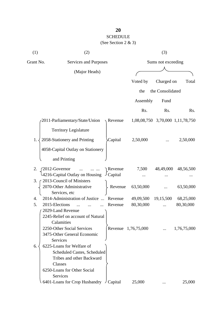| (1)       | (2)                                                                  |                           |                     | (3)                |                                  |  |
|-----------|----------------------------------------------------------------------|---------------------------|---------------------|--------------------|----------------------------------|--|
| Grant No. | Services and Purposes                                                |                           |                     | Sums not exceeding |                                  |  |
|           | (Major Heads)                                                        |                           |                     |                    |                                  |  |
|           |                                                                      |                           | Voted by            | Charged on         | Total                            |  |
|           |                                                                      |                           | the                 | the Consolidated   |                                  |  |
|           |                                                                      |                           | Assembly            | Fund               |                                  |  |
|           |                                                                      |                           |                     |                    |                                  |  |
|           |                                                                      |                           | Rs.                 | Rs.                | Rs.                              |  |
|           | 2011-Parliamentary/State/Union                                       | Revenue                   |                     |                    | 1,08,08,750 3,70,000 1,11,78,750 |  |
|           | <b>Territory Legislature</b>                                         |                           |                     |                    |                                  |  |
| 1.        | 2058-Stationery and Printing                                         | Capital                   | 2,50,000            |                    | 2,50,000                         |  |
|           | 4058-Capital Outlay on Stationery                                    |                           |                     |                    |                                  |  |
|           | and Printing                                                         |                           |                     |                    |                                  |  |
| 2.        | 2012-Governor<br>$\ddotsc$<br>4216-Capital Outlay on Housing         | Revenue<br>$\cup$ Capital | 7,500               | 48,49,000          | 48,56,500                        |  |
| 3.        | 2013-Council of Ministers                                            |                           |                     |                    |                                  |  |
|           | 2070-Other Administrative                                            | Revenue                   | 63,50,000           |                    | 63,50,000                        |  |
|           | Services, etc                                                        |                           |                     |                    |                                  |  |
| 4.        | 2014-Administration of Justice<br>$\dddotsc$                         | Revenue                   | 49,09,500           | 19,15,500          | 68,25,000                        |  |
| 5.        | 2015-Elections                                                       | Revenue                   | 80,30,000           |                    | 80,30,000                        |  |
|           | 2029-Land Revenue<br>2245-Relief on account of Natural<br>Calamities |                           |                     |                    |                                  |  |
|           | 2250-Other Social Services<br>3475-Other General Economic            |                           | Revenue 1,76,75,000 |                    | 1,76,75,000                      |  |
|           | Services                                                             |                           |                     |                    |                                  |  |
| 6.        | 6225-Loans for Welfare of<br>Scheduled Castes, Scheduled             |                           |                     |                    |                                  |  |
|           | Tribes and other Backward                                            |                           |                     |                    |                                  |  |
|           | Classes                                                              |                           |                     |                    |                                  |  |
|           | 6250-Loans for Other Social                                          |                           |                     |                    |                                  |  |
|           | Services                                                             |                           |                     |                    |                                  |  |
|           | 6401-Loans for Crop Husbandry                                        | Capital                   | 25,000              |                    | 25,000                           |  |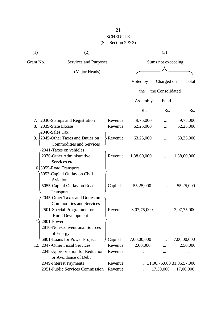| (1) | (2)                                | (3)     |                    |                  |                           |  |
|-----|------------------------------------|---------|--------------------|------------------|---------------------------|--|
|     | Grant No.<br>Services and Purposes |         | Sums not exceeding |                  |                           |  |
|     | (Major Heads)                      |         |                    |                  |                           |  |
|     |                                    |         | Voted by           | Charged on       | Total                     |  |
|     |                                    |         | the                | the Consolidated |                           |  |
|     |                                    |         | Assembly           | Fund             |                           |  |
|     |                                    |         | Rs.                | Rs.              | Rs.                       |  |
| 7.  | 2030-Stamps and Registration       | Revenue | 9,75,000           |                  | 9,75,000                  |  |
| 8.  | 2039-State Excise                  | Revenue | 62,25,000          |                  | 62,25,000                 |  |
|     | 2040-Sales Tax                     |         |                    |                  |                           |  |
| 9.  | 2045-Other Taxes and Duties on     | Revenue | 63,25,000          |                  | 63,25,000                 |  |
|     | <b>Commodities and Services</b>    |         |                    |                  |                           |  |
|     | 2041-Taxes on vehicles             |         |                    |                  |                           |  |
|     | 2070-Other Administrative          | Revenue | 1,38,00,000        |                  | 1,38,00,000               |  |
|     | Services etc                       |         |                    |                  |                           |  |
|     | 10.3055-Road Transport             |         |                    |                  |                           |  |
|     | 5053-Capital Outlay on Civil       |         |                    |                  |                           |  |
|     | Aviation                           |         |                    |                  |                           |  |
|     | 5055-Capital Outlay on Road        | Capital | 55,25,000          |                  | 55,25,000                 |  |
|     | Transport                          |         |                    |                  |                           |  |
|     | 2045-Other Taxes and Duties on     |         |                    |                  |                           |  |
|     | <b>Commodities and Services</b>    |         |                    |                  |                           |  |
|     | 2501-Special Programme for         | Revenue | 3,07,75,000        |                  | 3,07,75,000               |  |
|     | <b>Rural Development</b>           |         |                    |                  |                           |  |
| 11. | 2801-Power                         |         |                    |                  |                           |  |
|     | 2810-Non-Conventional Sources      |         |                    |                  |                           |  |
|     | of Energy                          |         |                    |                  |                           |  |
|     | 6801-Loans for Power Project       | Capital | 7,00,00,000        |                  | 7,00,00,000               |  |
|     | 12. 2047-Other Fiscal Services     | Revenue | 2,00,000           |                  | 2,50,000                  |  |
|     | 2048-Appropriation for Reduction   | Revenue |                    |                  |                           |  |
|     | or Avoidance of Debt               |         |                    |                  |                           |  |
|     | 2049-Interest Payments             | Revenue |                    |                  | 31,06,75,000 31,06,57,000 |  |
|     | 2051-Public Services Commission    | Revenue |                    | 17,50,000        | 17,00,000                 |  |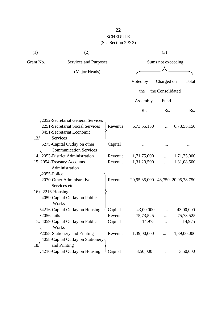| (1)                          | (2)                                          |         | (3)                              |                  |             |
|------------------------------|----------------------------------------------|---------|----------------------------------|------------------|-------------|
| Grant No.                    | Services and Purposes                        |         | Sums not exceeding               |                  |             |
|                              | (Major Heads)                                |         |                                  |                  |             |
|                              |                                              |         | Voted by                         | Charged on       | Total       |
|                              |                                              |         | the                              | the Consolidated |             |
|                              |                                              |         | Assembly                         | Fund             |             |
|                              |                                              |         | Rs.                              | Rs.              | Rs.         |
|                              | 2052-Secretariat General Services            |         |                                  |                  |             |
|                              | 2251-Secretariat Social Services             | Revenue | 6,73,55,150                      |                  | 6,73,55,150 |
| 13 <sup>2</sup>              | 3451-Secretariat Economic<br><b>Services</b> |         |                                  |                  |             |
|                              | 5275-Capital Outlay on other                 | Capital |                                  |                  |             |
|                              | <b>Communication Services</b>                |         |                                  |                  |             |
|                              | 14. 2053-District Administration             | Revenue | 1,71,75,000                      |                  | 1,71,75,000 |
|                              | 15. 2054-Treasury Accounts                   | Revenue | 1,31,20,500                      |                  | 1,31,08,500 |
|                              | Administration                               |         |                                  |                  |             |
| 2055-Police                  |                                              |         |                                  |                  |             |
|                              | 2070-Other Administrative<br>Services etc    | Revenue | 20,95,35,000 43,750 20,95,78,750 |                  |             |
| 2216-Housing<br>$16\sqrt{ }$ |                                              |         |                                  |                  |             |
|                              | 4059-Capital Outlay on Public                |         |                                  |                  |             |
|                              | Works                                        |         |                                  |                  |             |
|                              | 4216-Capital Outlay on Housing               | Capital | 43,00,000                        |                  | 43,00,000   |
| $\sqrt{2056}$ -Jails         |                                              | Revenue | 75,73,525                        |                  | 75,73,525   |
|                              | 17, 4059-Capital Outlay on Public            | Capital | 14,975                           |                  | 14,975      |
|                              | Works                                        |         |                                  |                  |             |
|                              | 2058-Stationery and Printing                 | Revenue | 1,39,00,000                      |                  | 1,39,00,000 |
|                              | 4058-Capital Outlay on Stationery            |         |                                  |                  |             |
| 18.                          | and Printing                                 |         |                                  |                  |             |
|                              | 4216-Capital Outlay on Housing               | Capital | 3,50,000                         |                  | 3,50,000    |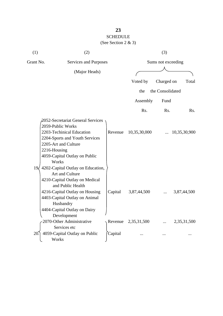| (1)       | (2)                                                                                                                                                                                                                                          |         |                    | (3)              |              |  |
|-----------|----------------------------------------------------------------------------------------------------------------------------------------------------------------------------------------------------------------------------------------------|---------|--------------------|------------------|--------------|--|
| Grant No. | Services and Purposes                                                                                                                                                                                                                        |         | Sums not exceeding |                  |              |  |
|           | (Major Heads)                                                                                                                                                                                                                                |         |                    |                  |              |  |
|           |                                                                                                                                                                                                                                              |         |                    |                  |              |  |
|           |                                                                                                                                                                                                                                              |         | Voted by           | Charged on       | Total        |  |
|           |                                                                                                                                                                                                                                              |         | the                | the Consolidated |              |  |
|           |                                                                                                                                                                                                                                              |         | Assembly           | Fund             |              |  |
|           |                                                                                                                                                                                                                                              |         | Rs.                | Rs.              | Rs.          |  |
| 19<       | 2052-Secretariat General Services<br>2059-Public Works<br>2203-Techinical Education<br>2204-Sports and Youth Services<br>2205-Art and Culture<br>2216-Housing<br>4059-Capital Outlay on Public<br>Works<br>4202-Capital Outlay on Education, | Revenue | 10,35,30,000       |                  | 10,35,30,900 |  |
|           | Art and Culture<br>4210-Capital Outlay on Medical<br>and Public Health<br>4216-Capital Outlay on Housing<br>4403-Capital Outlay on Animal<br>Husbandry<br>4404-Capital Outlay on Dairy<br>Development                                        | Capital | 3,87,44,500        |                  | 3,87,44,500  |  |
|           | 2070-Other Administrative                                                                                                                                                                                                                    | Revenue | 2,35,31,500        |                  | 2,35,31,500  |  |
|           | Services etc                                                                                                                                                                                                                                 |         |                    |                  |              |  |
| 20        | 4059-Capital Outlay on Public<br>Works                                                                                                                                                                                                       | Capital |                    |                  |              |  |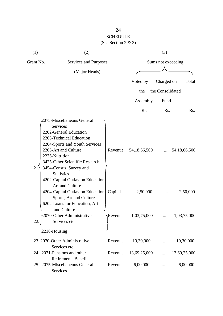| (1)       | (2)                                                                                                                                                                                                                                                                                                                                                                                                                                        |                  |                             | (3)              |                             |  |
|-----------|--------------------------------------------------------------------------------------------------------------------------------------------------------------------------------------------------------------------------------------------------------------------------------------------------------------------------------------------------------------------------------------------------------------------------------------------|------------------|-----------------------------|------------------|-----------------------------|--|
| Grant No. | Services and Purposes                                                                                                                                                                                                                                                                                                                                                                                                                      |                  | Sums not exceeding          |                  |                             |  |
|           | (Major Heads)                                                                                                                                                                                                                                                                                                                                                                                                                              |                  |                             |                  |                             |  |
|           |                                                                                                                                                                                                                                                                                                                                                                                                                                            |                  | Voted by                    | Charged on       | Total                       |  |
|           |                                                                                                                                                                                                                                                                                                                                                                                                                                            |                  | the                         | the Consolidated |                             |  |
|           |                                                                                                                                                                                                                                                                                                                                                                                                                                            |                  | Assembly                    | Fund             |                             |  |
|           |                                                                                                                                                                                                                                                                                                                                                                                                                                            |                  | Rs.                         | Rs.              | Rs.                         |  |
| 21        | 2075-Miscellaneous General<br>Services<br>2202-General Education<br>2203-Technical Education<br>2204-Sports and Youth Services<br>2205-Art and Culture<br>2236-Nutrition<br>3425-Other Scientific Research<br>3454-Census, Survey and<br><b>Statistics</b><br>4202-Capital Outlay on Education,<br>Art and Culture<br>4204-Capital Outlay on Education, Capital<br>Sports, Art and Culture<br>6202-Loans for Education, Art<br>and Culture | Revenue          | 54, 18, 66, 500<br>2,50,000 |                  | 54, 18, 66, 500<br>2,50,000 |  |
| 22.       | 2070-Other Administrative<br>Services etc                                                                                                                                                                                                                                                                                                                                                                                                  | $\gamma$ Revenue | 1,03,75,000                 |                  | 1,03,75,000                 |  |
|           | $2216$ -Housing                                                                                                                                                                                                                                                                                                                                                                                                                            |                  |                             |                  |                             |  |
|           | 23. 2070-Other Administrative<br>Services etc                                                                                                                                                                                                                                                                                                                                                                                              | Revenue          | 19,30,000                   |                  | 19,30,000                   |  |
|           | 24. 2071-Pensions and other<br><b>Retirements Benefits</b>                                                                                                                                                                                                                                                                                                                                                                                 | Revenue          | 13,69,25,000                |                  | 13,69,25,000                |  |
|           | 25. 2075-Miscellaneous General<br>Services                                                                                                                                                                                                                                                                                                                                                                                                 | Revenue          | 6,00,000                    |                  | 6,00,000                    |  |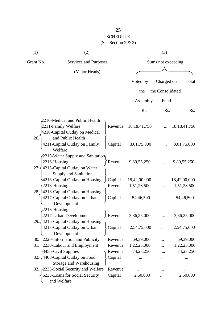| (1)             | (2)                                                                                                      |                |                    | (3)              |                 |  |  |
|-----------------|----------------------------------------------------------------------------------------------------------|----------------|--------------------|------------------|-----------------|--|--|
| Grant No.       | Services and Purposes                                                                                    |                | Sums not exceeding |                  |                 |  |  |
|                 | (Major Heads)                                                                                            |                |                    |                  |                 |  |  |
|                 |                                                                                                          |                | Voted by           | Charged on       | Total           |  |  |
|                 |                                                                                                          |                | the                | the Consolidated |                 |  |  |
|                 |                                                                                                          |                | Assembly           | Fund             |                 |  |  |
|                 |                                                                                                          |                | Rs.                | Rs.              | Rs.             |  |  |
|                 | 2210-Medical and Public Health<br>2211-Family Welfare<br>4210-Capital Outlay on Medical                  | Revenue        | 18, 18, 41, 750    |                  | 18, 18, 41, 750 |  |  |
| 26.             | and Public Health<br>4211-Capital Outlay on Family<br>Welfare                                            | Capital        | 3,01,75,000        |                  | 3,01,75,000     |  |  |
| 2216-Housing    | $-2215$ -Water Supply and Sanitation<br>27. $\leq$ 4215-Capital Outlay on Water<br>Supply and Sanitation | Revenue        | 9,89,55,250        |                  | 9,89,55,250     |  |  |
|                 | 4216-Capital Outlay on Housing                                                                           | Capital        | 18,42,00,000       |                  | 18,42,00,000    |  |  |
| $2216$ -Housing |                                                                                                          | Revenue        | 1,51,28,500        |                  | 1,51,28,500     |  |  |
| 28.             | 4216-Capital Outlay on Housing<br>4217-Capital Outlay on Urban<br>Development                            | Capital        | 54,46,500          |                  | 54,46,500       |  |  |
| $2216$ -Housing | 2217-Urban Development<br>29. $\frac{1}{2}$ 4216-Capital Outlay on Housing                               | $\int$ Revenue | 3,86,25,000        |                  | 3,86,25,000     |  |  |
|                 | 4217-Capital Outlay on Urban<br>Development                                                              | Capital        | 2,54,75,000        |                  | 2,54,75,000     |  |  |
| 30.             | 2220-Information and Publicity                                                                           | Revenue        | 69,39,000          |                  | 69,39,000       |  |  |
| 31.             | 2230-Labour and Employment                                                                               | Revenue        | 1,22,25,000        |                  | 1,22,25,000     |  |  |
|                 | 3456-Civil Supplies                                                                                      | Revenue        | 74,23,250          |                  | 74,23,250       |  |  |
| 32.             | 4408-Capital Outlay on Food<br>Storage and Warehousing                                                   | Capital        |                    |                  |                 |  |  |
|                 | 33. 2235-Social Security and Welfare                                                                     | Revenue        |                    |                  |                 |  |  |
|                 | 6235-Loans for Social Security<br>and Welfare                                                            | Capital        | 2,50,000           |                  | 2,50,000        |  |  |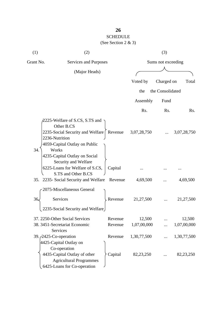| (1)           | (2)                                                                                                               |         |                    | (3)              |             |  |  |
|---------------|-------------------------------------------------------------------------------------------------------------------|---------|--------------------|------------------|-------------|--|--|
| Grant No.     | Services and Purposes                                                                                             |         | Sums not exceeding |                  |             |  |  |
| (Major Heads) |                                                                                                                   |         |                    |                  |             |  |  |
|               |                                                                                                                   |         | Voted by           | Charged on       | Total       |  |  |
|               |                                                                                                                   |         | the                | the Consolidated |             |  |  |
|               |                                                                                                                   |         | Assembly           | Fund             |             |  |  |
|               |                                                                                                                   |         | Rs.                | Rs.              | Rs.         |  |  |
|               | 2225-Welfare of S.CS, S.TS and<br>Other B.CS<br>2235-Social Security and Welfare   Revenue                        |         | 3,07,28,750        |                  | 3,07,28,750 |  |  |
| 34.           | 2236-Nutrition<br>4059-Capital Outlay on Public<br>Works<br>4235-Capital Outlay on Social<br>Security and Welfare |         |                    |                  |             |  |  |
|               | 6225-Loans for Welfare of S.CS,<br>S.TS and Other B.CS                                                            | Capital |                    |                  |             |  |  |
|               | 35. 2235- Social Security and Welfare                                                                             | Revenue | 4,69,500           |                  | 4,69,500    |  |  |
|               | 2075-Miscellaneous General                                                                                        |         |                    |                  |             |  |  |
| 36.           | Services                                                                                                          | Revenue | 21,27,500          |                  | 21,27,500   |  |  |
|               | 2235-Social Security and Welfare                                                                                  |         |                    |                  |             |  |  |
|               | 37. 2250-Other Social Services                                                                                    | Revenue | 12,500             |                  | 12,500      |  |  |
|               | 38. 3451-Secretariat Economic<br>Services                                                                         | Revenue | 1,07,00,000        |                  | 1,07,00,000 |  |  |
|               | 39. <i>(2425-Co-operation</i> )<br>4425-Capital Outlay on<br>Co-operation                                         | Revenue | 1,30,77,500        | .                | 1,30,77,500 |  |  |
|               | 4435-Capital Outlay of other<br><b>Agricultural Programmes</b><br>6425-Loans for Co-operation                     | Capital | 82,23,250          |                  | 82,23,250   |  |  |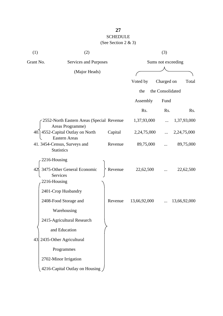| (1)                | (2)                                                           |         |                    | (3)              |              |  |
|--------------------|---------------------------------------------------------------|---------|--------------------|------------------|--------------|--|
| Grant No.          | Services and Purposes                                         |         | Sums not exceeding |                  |              |  |
|                    | (Major Heads)                                                 |         |                    |                  |              |  |
|                    |                                                               |         | Voted by           | Charged on       | Total        |  |
|                    |                                                               |         | the                | the Consolidated |              |  |
|                    |                                                               |         | Assembly           | Fund             |              |  |
|                    |                                                               |         | Rs.                | Rs.              | Rs.          |  |
|                    | 2552-North Eastern Areas (Special Revenue<br>Areas Programme) |         | 1,37,93,000        |                  | 1,37,93,000  |  |
|                    | 40. 4552-Capital Outlay on North<br><b>Eastern Areas</b>      | Capital | 2,24,75,000        |                  | 2,24,75,000  |  |
|                    | 41. 3454-Census, Surveys and<br><b>Statistics</b>             | Revenue | 89,75,000          |                  | 89,75,000    |  |
| 2216-Housing       |                                                               |         |                    |                  |              |  |
| 42<br>2216-Housing | 3475-Other General Economic<br>Services                       | Revenue | 22,62,500          |                  | 22,62,500    |  |
|                    | 2401-Crop Husbandry                                           |         |                    |                  |              |  |
|                    | 2408-Food Storage and                                         | Revenue | 13,66,92,000       |                  | 13,66,92,000 |  |
|                    | Warehousing                                                   |         |                    |                  |              |  |
|                    | 2415-Agricultural Research                                    |         |                    |                  |              |  |
|                    | and Education                                                 |         |                    |                  |              |  |
|                    | 43 2435-Other Agricultural                                    |         |                    |                  |              |  |
|                    |                                                               |         |                    |                  |              |  |
|                    | Programmes                                                    |         |                    |                  |              |  |
|                    | 2702-Minor Irrigation                                         |         |                    |                  |              |  |
|                    | 4216-Capital Outlay on Housing                                |         |                    |                  |              |  |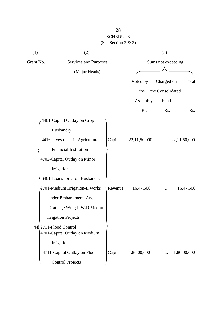| (1)       | (2)                                                             |         | (3)                |                  |                  |
|-----------|-----------------------------------------------------------------|---------|--------------------|------------------|------------------|
| Grant No. | Services and Purposes                                           |         | Sums not exceeding |                  |                  |
|           | (Major Heads)                                                   |         |                    |                  |                  |
|           |                                                                 |         | Voted by           | Charged on       | Total            |
|           |                                                                 |         | the                | the Consolidated |                  |
|           |                                                                 |         | Assembly           | Fund             |                  |
|           |                                                                 |         | Rs.                | Rs.              | R <sub>s</sub> . |
|           | 4401-Capital Outlay on Crop                                     |         |                    |                  |                  |
|           | Husbandry                                                       |         |                    |                  |                  |
|           | 4416-Investment in Agricultural                                 | Capital | 22,11,50,000       |                  | 22,11,50,000     |
|           | Financial Institution                                           |         |                    |                  |                  |
|           | 4702-Capital Outlay on Minor                                    |         |                    |                  |                  |
|           | Irrigation                                                      |         |                    |                  |                  |
|           | 6401-Loans for Crop Husbandry                                   |         |                    |                  |                  |
|           | 2701-Medium Irrigation-II works                                 | Revenue | 16,47,500          |                  | 16,47,500        |
|           | under Embankment. And                                           |         |                    |                  |                  |
|           | Drainage Wing P.W.D Medium                                      |         |                    |                  |                  |
|           | <b>Irrigation Projects</b>                                      |         |                    |                  |                  |
|           | $44\sqrt{2711}$ -Flood Control<br>4701-Capital Outlay on Medium |         |                    |                  |                  |
|           | Irrigation                                                      |         |                    |                  |                  |
|           | 4711-Capital Outlay on Flood                                    | Capital | 1,80,00,000        |                  | 1,80,00,000      |
|           | <b>Control Projects</b>                                         |         |                    |                  |                  |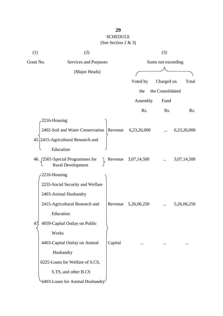| (1)       | (2)                                                          | (3)     |                    |                  |                  |
|-----------|--------------------------------------------------------------|---------|--------------------|------------------|------------------|
| Grant No. | Services and Purposes                                        |         | Sums not exceeding |                  |                  |
|           | (Major Heads)                                                |         |                    |                  |                  |
|           |                                                              |         | Voted by           | Charged on       | Total            |
|           |                                                              |         | the                | the Consolidated |                  |
|           |                                                              |         | Assembly           | Fund             |                  |
|           |                                                              |         | R <sub>s</sub> .   | R <sub>s</sub> . | R <sub>s</sub> . |
|           | 2216-Housing                                                 |         |                    |                  |                  |
|           | 2402-Soil and Water Conservation                             | Revenue | 6,23,26,000        |                  | 6,23,26,000      |
|           | 45. 2415-Agricultural Research and                           |         |                    |                  |                  |
|           | Education                                                    |         |                    |                  |                  |
|           | 46. [2501-Special Programmes for<br><b>Rural Development</b> | Revenue | 3,07,14,500        |                  | 3,07,14,500      |
|           | 2216-Housing                                                 |         |                    |                  |                  |
|           | 2235-Social Security and Welfare                             |         |                    |                  |                  |
|           | 2403-Animal Husbandry                                        |         |                    |                  |                  |
|           | 2415-Agricultural Research and                               | Revenue | 5,26,06,250        |                  | 5,26,06,250      |
|           | Education                                                    |         |                    |                  |                  |
| 47 .      | 4059-Capital Outlay on Public                                |         |                    |                  |                  |
|           | Works                                                        |         |                    |                  |                  |
|           | 4403-Capital Outlay on Animal                                | Capital |                    |                  |                  |
|           | Husbandry                                                    |         |                    |                  |                  |
|           | 6225-Loans for Welfare of S.CS,                              |         |                    |                  |                  |
|           | S.TS, and other B.CS                                         |         |                    |                  |                  |
|           | 6403-Loans for Animal Husbandry                              |         |                    |                  |                  |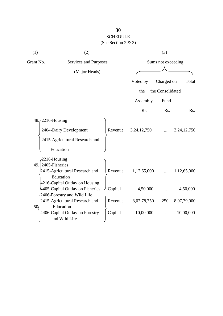| (1) | (2)                                              |         |                    | (3)              |                |
|-----|--------------------------------------------------|---------|--------------------|------------------|----------------|
|     | Grant No.<br>Services and Purposes               |         | Sums not exceeding |                  |                |
|     | (Major Heads)                                    |         |                    |                  |                |
|     |                                                  |         | Voted by           | Charged on       | Total          |
|     |                                                  |         | the                | the Consolidated |                |
|     |                                                  |         | Assembly           | Fund             |                |
|     |                                                  |         | Rs.                | Rs.              | Rs.            |
|     | $48.72216$ -Housing                              |         |                    |                  |                |
|     | 2404-Dairy Development                           | Revenue | 3, 24, 12, 750     |                  | 3, 24, 12, 750 |
|     | 2415-Agricultural Research and                   |         |                    |                  |                |
|     | Education                                        |         |                    |                  |                |
|     | $2216$ -Housing                                  |         |                    |                  |                |
|     | $49.$ 2405-Fisheries                             |         |                    |                  |                |
|     | 2415-Agricultural Research and<br>Education      | Revenue | 1,12,65,000        |                  | 1,12,65,000    |
|     | 4216-Capital Outlay on Housing                   |         |                    |                  |                |
|     | 4405-Capital Outlay on Fisheries                 | Capital | 4,50,000           |                  | 4,50,000       |
|     | 2406-Forestry and Wild Life                      |         |                    |                  |                |
|     | 2415-Agricultural Research and                   | Revenue | 8,07,78,750        | 250              | 8,07,79,000    |
| 5Q. | Education                                        |         |                    |                  |                |
|     | 4406-Capital Outlay on Forestry<br>and Wild Life | Capital | 10,00,000          |                  | 10,00,000      |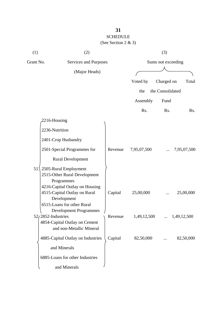| (1)                   | (2)                                                                                                                      |         | (3)                |                  |             |
|-----------------------|--------------------------------------------------------------------------------------------------------------------------|---------|--------------------|------------------|-------------|
| Grant No.             | Services and Purposes                                                                                                    |         | Sums not exceeding |                  |             |
| (Major Heads)         |                                                                                                                          |         |                    |                  |             |
|                       |                                                                                                                          |         | Voted by           | Charged on       | Total       |
|                       |                                                                                                                          |         | the                | the Consolidated |             |
|                       |                                                                                                                          |         | Assembly           | Fund             |             |
|                       |                                                                                                                          |         | Rs.                | Rs.              | Rs.         |
|                       | 2216-Housing                                                                                                             |         |                    |                  |             |
|                       | 2236-Nutrition                                                                                                           |         |                    |                  |             |
|                       | 2401-Crop Husbandry                                                                                                      |         |                    |                  |             |
|                       | 2501-Special Programmes for                                                                                              | Revenue | 7,95,07,500        |                  | 7,95,07,500 |
|                       | <b>Rural Development</b>                                                                                                 |         |                    |                  |             |
| $51\lambda$           | 2505-Rural Employment<br>2515-Other Rural Development<br>Programmes                                                      |         |                    |                  |             |
|                       | 4216-Capital Outlay on Housing<br>4515-Capital Outlay on Rural<br>Development                                            | Capital | 25,00,000          |                  | 25,00,000   |
| $52/2852$ -Industries | 6515-Loans for other Rural<br><b>Development Programmes</b><br>4854-Capital Outlay on Cement<br>and non-Metallic Mineral | Revenue | 1,49,12,500        |                  | 1,49,12,500 |
|                       | 4885-Capital Outlay on Industries                                                                                        | Capital | 82,50,000          |                  | 82,50,000   |
|                       | and Minerals                                                                                                             |         |                    |                  |             |
|                       | 6885-Loans for other Industries                                                                                          |         |                    |                  |             |
|                       | and Minerals                                                                                                             |         |                    |                  |             |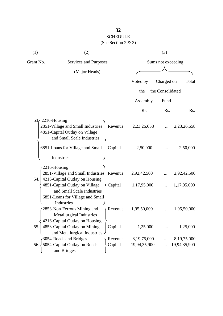| (See Section 2 & 3) |  |  |
|---------------------|--|--|
|                     |  |  |

| (1)                | (2)                                                                                               |         |              | (3)                |                |  |
|--------------------|---------------------------------------------------------------------------------------------------|---------|--------------|--------------------|----------------|--|
| Grant No.          | <b>Services and Purposes</b>                                                                      |         |              | Sums not exceeding |                |  |
|                    | (Major Heads)                                                                                     |         |              |                    |                |  |
|                    |                                                                                                   |         | Voted by     | Charged on         | Total          |  |
|                    |                                                                                                   |         | the          | the Consolidated   |                |  |
|                    |                                                                                                   |         | Assembly     | Fund               |                |  |
|                    |                                                                                                   |         | Rs.          | Rs.                | Rs.            |  |
| $53f$ 2216-Housing |                                                                                                   |         |              |                    |                |  |
|                    | 2851-Village and Small Industries<br>4851-Capital Outlay on Village<br>and Small Scale Industries | Revenue | 2,23,26,658  |                    | 2,23,26,658    |  |
|                    | 6851-Loans for Village and Small                                                                  | Capital | 2,50,000     |                    | 2,50,000       |  |
|                    | Industries                                                                                        |         |              |                    |                |  |
| 2216-Housing       |                                                                                                   |         |              |                    |                |  |
|                    | 2851-Village and Small Industries                                                                 | Revenue | 2,92,42,500  |                    | 2,92,42,500    |  |
| 54.                | 4216-Capital Outlay on Housing                                                                    |         |              |                    |                |  |
|                    | 4851-Capital Outlay on Village<br>and Small Scale Industries                                      | Capital | 1,17,95,000  |                    | 1,17,95,000    |  |
|                    | 6851-Loans for Village and Small                                                                  |         |              |                    |                |  |
|                    | Industries                                                                                        |         |              |                    |                |  |
|                    | 2853-Non-Ferrous Mining and<br><b>Metallurgical Industries</b>                                    | Revenue | 1,95,50,000  |                    | 1,95,50,000    |  |
|                    | 4216-Capital Outlay on Housing                                                                    |         |              |                    |                |  |
| 55.                | 4853-Capital Outlay on Mining                                                                     | Capital | 1,25,000     |                    | 1,25,000       |  |
|                    | and Metallurgical Industries .                                                                    |         |              |                    |                |  |
|                    | 3054-Roads and Bridges                                                                            | Revenue | 8,19,75,000  |                    | 8, 19, 75, 000 |  |
|                    | 56. 5054-Capital Outlay on Roads<br>and Bridges                                                   | Capital | 19,94,35,900 |                    | 19,94,35,900   |  |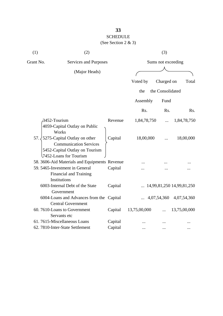| (1)       | (2)                                                                     |         |              | (3)                |                                    |
|-----------|-------------------------------------------------------------------------|---------|--------------|--------------------|------------------------------------|
| Grant No. | Services and Purposes                                                   |         |              | Sums not exceeding |                                    |
|           | (Major Heads)                                                           |         |              |                    |                                    |
|           |                                                                         |         | Voted by     | Charged on         | Total                              |
|           |                                                                         |         |              | the Consolidated   |                                    |
|           |                                                                         |         | the          |                    |                                    |
|           |                                                                         |         | Assembly     | Fund               |                                    |
|           |                                                                         |         | Rs.          | R <sub>s</sub> .   | Rs.                                |
|           | 3452-Tourism                                                            | Revenue | 1,84,78,750  |                    | 1,84,78,750                        |
|           | 4059-Capital Outlay on Public<br>Works                                  |         |              |                    |                                    |
| 57.       | 5275-Capital Outlay on other                                            | Capital | 18,00,000    |                    | 18,00,000                          |
|           | <b>Communication Services</b>                                           |         |              |                    |                                    |
|           | 5452-Capital Outlay on Tourism                                          |         |              |                    |                                    |
|           | 7452-Loans for Tourism<br>58. 3606-Aid Materials and Equipments Revenue |         |              |                    |                                    |
|           | 59. 5465-Investment in General                                          | Capital |              |                    |                                    |
|           | Financial and Training<br>Institutions                                  |         |              |                    |                                    |
|           | 6003-Internal Debt of the State                                         | Capital |              |                    | $\ldots$ 14,99,81,250 14,99,81,250 |
|           | Government                                                              |         |              |                    |                                    |
|           | 6004-Loans and Advances from the Capital                                |         |              |                    | 4,07,54,360 4,07,54,360            |
|           | <b>Central Government</b>                                               |         |              |                    |                                    |
|           | 60.7610-Loans to Government                                             | Capital | 13,75,00,000 |                    | 13,75,00,000                       |
|           | Servants etc                                                            |         |              |                    |                                    |
|           | 61.7615-Miscellaneous Loans                                             | Capital |              |                    |                                    |
|           | 62. 7810-Inter-State Settlement                                         | Capital |              |                    |                                    |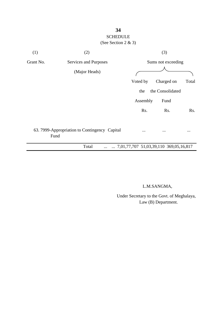

L.M.SANGMA,

 Under Secretary to the Govt. of Meghalaya, Law (B) Department.

# **34**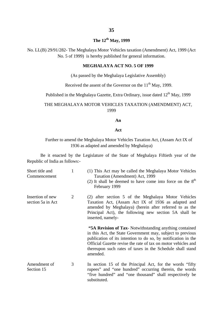# **The 12th May, 1999**

No. LL(B) 29/91/282- The Meghalaya Motor Vehicles taxation (Amendment) Act, 1999 (Act No. 5 of 1999) is hereby published for general information.

#### **MEGHALAYA ACT NO. 5 OF 1999**

(As passed by the Meghalaya Legislative Assembly)

Received the assent of the Governor on the  $11<sup>th</sup>$  May, 1999.

Published in the Meghalaya Gazette, Extra Ordinary, issue dated  $12<sup>th</sup>$  May, 1999

#### THE MEGHALAYA MOTOR VEHICLES TAXATION (AMENDMENT) ACT, 1999

#### **An**

#### **Act**

#### Further to amend the Meghalaya Motor Vehicles Taxation Act, (Assam Act IX of 1936 as adapted and amended by Meghalaya)

Be it enacted by the Legislature of the State of Meghalaya Fiftieth year of the Republic of India as follows:-

| Short title and<br>Commencement       | $\mathbf{1}$   | (1) This Act may be called the Meghalaya Motor Vehicles<br>Taxation (Amendment) Act, 1999<br>(2) It shall be deemed to have come into force on the $8th$<br>February 1999                                                                                                                                                        |
|---------------------------------------|----------------|----------------------------------------------------------------------------------------------------------------------------------------------------------------------------------------------------------------------------------------------------------------------------------------------------------------------------------|
| Insertion of new<br>section 5a in Act | $\overline{2}$ | (2) after section 5 of the Meghalaya Motor Vehicles<br>Taxation Act, (Assam Act IX of 1936 as adapted and<br>amended by Meghalaya) (herein after referred to as the<br>Principal Act), the following new section 5A shall be<br>inserted, namely-                                                                                |
|                                       |                | "5A Revision of Tax- Notwithstanding anything contained<br>in this Act, the State Government may, subject to previous<br>publication of its intention to do so, by notification in the<br>Official Gazette revise the rate of tax on motor vehicles and<br>thereupon such rates of taxes in the Schedule shall stand<br>amended. |
| Amendment of<br>Section 15            | 3              | In section 15 of the Principal Act, for the words "fifty"<br>rupees" and "one hundred" occurring therein, the words<br>"five hundred" and "one thousand" shall respectively be<br>substituted.                                                                                                                                   |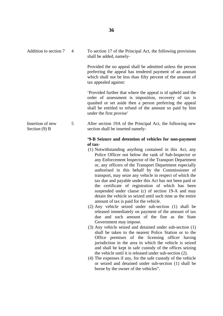| Addition to section 7               | $\overline{4}$ | To section 17 of the Principal Act, the following provisions<br>shall be added, namely-                                                                                                                                                                                  |
|-------------------------------------|----------------|--------------------------------------------------------------------------------------------------------------------------------------------------------------------------------------------------------------------------------------------------------------------------|
|                                     |                | Provided the no appeal shall be admitted unless the person<br>preferring the appeal has tendered payment of an amount<br>which shall not be less than fifty percent of the amount of<br>tax appealed against:                                                            |
|                                     |                | Provided further that where the appeal is id upheld and the<br>order of assessment is imposition, recovery of tax is<br>quashed or set aside then a person preferring the appeal<br>shall be entitled to refund of the amount so paid by him<br>under the first provise' |
| Insertion of new<br>Section $(9)$ B | 5              | After section 19A of the Principal Act, the following new<br>section shall be inserted namely-                                                                                                                                                                           |
|                                     |                | '9-B Seizure and detention of vehicles for non-payment<br>of tax-                                                                                                                                                                                                        |
|                                     |                | (1) Notwithstanding anything contained in this Act any                                                                                                                                                                                                                   |

- (1) Notwithstanding anything contained in this Act, any Police Officer not below the rank of Sub-Inspector or any Enforcement Inspector of the Transport Department or, any officers of the Transport Department especially authorised in this behalf by the Commissioner of transport, may seize any vehicle in respect of which the tax due and payable under this Act has not been paid or the certificate of registration of which has been suspended under clause (c) of section 19-A and may detain the vehicle so seized until such time as the entire amount of tax is paid for the vehicle.
- (2) Any vehicle seized under sub-section (1) shall be released immediately on payment of the amount of tax due and such amount of the fine as the State Government may impose.
- (3) Any vehicle seized and detained under sub-section (1) shall be taken to the nearest Police Station or to the Office premises of the licensing officer having jurisdiction in the area in which the vehicle is seized and shall be kept in safe custody of the offices seizing the vehicle until it is released under sub-section (2).
- (4) The expenses if any, for the safe custody of the vehicle or seized and detained under sub-section (1) shall be borne by the owner of the vehicles".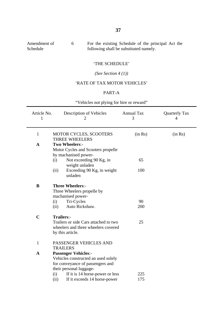| Amendment of | For the existing Schedule of the principal Act the |
|--------------|----------------------------------------------------|
| Schedule     | following shall be substituted namely.             |

#### 'THE SCHEDULE'

*(See Section 4 (1))*

### 'RATE OF TAX MOTOR VEHICLES'

#### PART-A

"Vehicles not plying for hire or reward"

| Article No.<br>1 | Description of Vehicles<br>2                           | <b>Annual Tax</b><br>3 | <b>Quarterly Tax</b><br>$\overline{4}$ |
|------------------|--------------------------------------------------------|------------------------|----------------------------------------|
| $\mathbf{1}$     | <b>MOTOR CYCLES, SCOOTERS</b><br><b>THREE WHEELERS</b> | (in Rs)                | (in Rs)                                |
| $\mathbf{A}$     | Two Wheelers:-                                         |                        |                                        |
|                  | Motor Cycles and Scooters propelle                     |                        |                                        |
|                  | by machanised power-                                   |                        |                                        |
|                  | Not exceeding 90 Kg, in<br>(i)<br>weight unladen       | 65                     |                                        |
|                  | Exceeding 90 Kg, in weight<br>(ii)<br>unladen          | 100                    |                                        |
| B                | <b>Three Wheelers:-</b>                                |                        |                                        |
|                  | Three Wheelers propelle by                             |                        |                                        |
|                  | machanised power-                                      |                        |                                        |
|                  | Tri-Cycles<br>(i)                                      | 90                     |                                        |
|                  | Auto Rickshaw.<br>(ii)                                 | 200                    |                                        |
| $\mathbf C$      | <b>Trailers:-</b>                                      |                        |                                        |
|                  | Trailers or side Cars attached to two                  | 25                     |                                        |
|                  | wheelers and three wheelers covered                    |                        |                                        |
|                  | by this article.                                       |                        |                                        |
| 1                | PASSENGER VEHICLES AND                                 |                        |                                        |
|                  | <b>TRAILERS</b>                                        |                        |                                        |
| $\mathbf A$      | <b>Passenger Vehicles:-</b>                            |                        |                                        |
|                  | Vehicles constructed an used solely                    |                        |                                        |
|                  | for conveyance of passengers and                       |                        |                                        |
|                  | their personal luggage-                                |                        |                                        |
|                  | If it is 14 horse-power or less<br>(i)                 | 225                    |                                        |
|                  | (ii)<br>If it exceeds 14 horse-power                   | 175                    |                                        |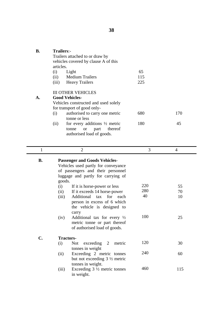| В. | <b>Trailers:-</b><br>articles. | Trailers attached to or draw by<br>vehicles covered by clause A of this                                                                                                                                                                                                                 |            |           |
|----|--------------------------------|-----------------------------------------------------------------------------------------------------------------------------------------------------------------------------------------------------------------------------------------------------------------------------------------|------------|-----------|
|    | (i)                            | Light                                                                                                                                                                                                                                                                                   | 65         |           |
|    | (ii)                           | Medium Trailers                                                                                                                                                                                                                                                                         | 115        |           |
|    | (iii)                          | <b>Heavy Trailers</b>                                                                                                                                                                                                                                                                   | 225        |           |
|    | (i)<br>(ii)                    | <b>III OTHER VEHICLES</b><br><b>Good Vehicles-</b><br>Vehicles constructed and used solely<br>for transport of good only-<br>authorised to carry one metric<br>tonne or less<br>for every additions $\frac{1}{2}$ metric<br>thereof<br>part<br>tonne<br>or<br>authorised load of goods. | 680<br>180 | 170<br>45 |

| 1              | $\overline{2}$                                                                                                                                                   | 3   | 4   |
|----------------|------------------------------------------------------------------------------------------------------------------------------------------------------------------|-----|-----|
| <b>B.</b>      | <b>Passenger and Goods Vehicles-</b><br>Vehicles used partly for conveyance<br>of passengers and their personnel<br>luggage and partly for carrying of<br>goods. |     |     |
|                | (i)<br>If it is horse-power or less                                                                                                                              | 220 | 55  |
|                | If it exceeds 14 horse-power<br>(ii)                                                                                                                             | 280 | 70  |
|                | Additional tax for each<br>(iii)<br>person in excess of 6 which<br>the vehicle is designed to<br>carry                                                           | 40  | 10  |
|                | Additional tax for every $\frac{1}{2}$<br>(iv)<br>metric tonne or part thereof<br>of authorised load of goods.                                                   | 100 | 25  |
| $\mathbf{C}$ . | <b>Tractors-</b>                                                                                                                                                 |     |     |
|                | exceeding <sub>2</sub><br><b>Not</b><br>metric<br>(i)<br>tonnes in weight                                                                                        | 120 | 30  |
|                | Exceeding 2 metric tonnes<br>(ii)<br>but not exceeding $3\frac{1}{2}$ metric<br>tonnes in weight.                                                                | 240 | 60  |
|                | Exceeding $3\frac{1}{2}$ metric tonnes<br>(iii)<br>in weight.                                                                                                    | 460 | 115 |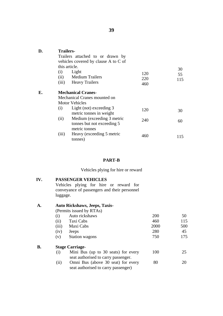| D. | <b>Trailers-</b>     | Trailers attached to or drawn by<br>vehicles covered by clause A to C of           |                   |           |
|----|----------------------|------------------------------------------------------------------------------------|-------------------|-----------|
|    | this article.<br>(i) | Light                                                                              |                   | 30        |
|    |                      | (ii) Medium Trailers<br>(iii) Heavy Trailers                                       | 120<br>220<br>460 | 55<br>115 |
| Е. |                      | <b>Mechanical Cranes-</b><br>Mechanical Cranes mounted on<br><b>Motor Vehicles</b> |                   |           |
|    | (i)                  | Light (not) exceeding 3<br>metric tonnes in weight                                 | 120               | 30        |
|    | (ii)                 | Medium (exceeding 3 metric<br>tonnes but not exceeding 5                           | 240               | 60        |
|    | (iii)                | metric tonnes<br>Heavy (exceeding 5 metric<br>tonnes)                              | 460               | 115       |

#### **PART-B**

Vehicles plying for hire or reward

#### **IV. PASSENGER VEHICLES**

Vehicles plying for hire or reward for conveyance of passengers and their personnel luggage.

#### **A. Auto Rickshaws, Jeeps, Taxis-**

**B.**

(Permits issued by RTAs)

| (i)   | Auto rickshaws                                                            | 200  | 50  |
|-------|---------------------------------------------------------------------------|------|-----|
| (ii)  | Taxi Cabs                                                                 | 460  | 115 |
| (iii) | Maxi Cabs                                                                 | 2000 | 500 |
| (iv)  | Jeeps                                                                     | 280  | 45  |
| (v)   | <b>Station wagons</b>                                                     | 750  | 175 |
|       | <b>Stage Carriage-</b>                                                    |      |     |
| (i)   | Mini Bus (up to 30 seats) for every                                       | 100  | 25  |
|       | seat authorised to carry passenger.                                       |      |     |
| (ii)  | Omni Bus (above 30 seat) for every<br>seat authorised to carry passenger) | 80   | 20  |
|       |                                                                           |      |     |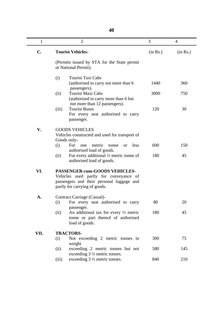| ۰.<br>×<br>-<br>۰. |  |  |  |
|--------------------|--|--|--|
|--------------------|--|--|--|

| $\mathbf{1}$  | $\overline{2}$                                                                                                                                        | 3        | 4        |
|---------------|-------------------------------------------------------------------------------------------------------------------------------------------------------|----------|----------|
| $C_{\bullet}$ | <b>Tourist Vehicles-</b>                                                                                                                              | (in Rs.) | (in Rs.) |
|               | (Permits issued by STA for the State permit)<br>or National Permit).                                                                                  |          |          |
|               | <b>Tourist Taxi Cabs</b><br>(i)<br>(authorised to carry not more than 6<br>passengers).                                                               | 1440     | 360      |
|               | <b>Tourist Maxi Cabs</b><br>(ii)<br>(authorised to carry more than 6 but                                                                              | 3000     | 750      |
|               | not more than 12 passengers).<br><b>Tourist Buses</b><br>(iii)<br>For every seat authorised to carry<br>passenger.                                    | 120      | 30       |
| V.            | <b>GOODS VEHICLES</b><br>Vehicles constructed and used for transport of<br>Goods only-                                                                |          |          |
|               | For<br>metric<br>(i)<br>less<br>one<br>tonne<br><sub>or</sub><br>authorised load of goods.                                                            | 600      | 150      |
|               | For every additional $\frac{1}{2}$ metric tonne of<br>(ii)<br>authorised load of goods.                                                               | 180      | 45       |
| VI.           | PASSENGER-cum-GOODS VEHICLES-<br>Vehicles used partly for conveyance of<br>passengers and their personal luggage and<br>partly for carrying of goods. |          |          |
| A.            | Contract Carriage (Casual)-<br>(i)<br>For every seat authorised to carry                                                                              | 80       | 20       |
|               | passenger.<br>(ii)<br>An additional tax for every $\frac{1}{2}$ metric<br>tonne or part thereof of authorised<br>load of goods.                       | 180      | 45       |
| VII.          | <b>TRACTORS-</b>                                                                                                                                      |          |          |
|               | Not exceeding 2 metric tonnes in<br>(i)<br>weight                                                                                                     | 300      | 75       |
|               | (ii)<br>exceeding 2 metric tonnes but not<br>exceeding $3\frac{1}{2}$ metric tonnes.                                                                  | 580      | 145      |
|               | exceeding $3\frac{1}{2}$ metric tonnes.<br>(iii)                                                                                                      | 840      | 210      |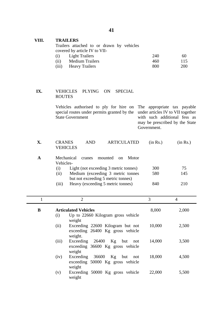### **VIII. TRAILERS**

Trailers attached to or drawn by vehicles covered by article IV to VII-

| (i)   | <b>Light Trailers</b>  | 240 | 60         |
|-------|------------------------|-----|------------|
| (ii)  | <b>Medium Trailers</b> | 460 | 115        |
| (iii) | <b>Heavy Trailers</b>  | 800 | <b>200</b> |

#### **IX.** VEHICLES PLYING ON SPECIAL ROUTES

Vehicles authorised to ply for hire on The appropriate tax payable special routes under permits granted by the under articles IV to VII together State Government with such additional fess as may be prescribed by the State

Government.

| Х. | CRANES<br><b>VEHICLES</b>          | AND. |  | ARTICULATED (in Rs.) | (in Rs.) |
|----|------------------------------------|------|--|----------------------|----------|
|    | Mechanical cranes mounted on Motor |      |  |                      |          |

| nicchante<br><u>UNING S</u><br>1110ani u<br>,,,,,,,,, |           |     |
|-------------------------------------------------------|-----------|-----|
|                                                       |           |     |
| Light (not exceeding 3 metric tonnes)                 | 300       | 75  |
| Medium (exceeding 3 metric tonnes                     | 580       | 145 |
| but not exceeding 5 metric tonnes)                    |           |     |
| Heavy (exceeding 5 metric tonnes)                     | 840       | 210 |
|                                                       | Vehicles- |     |

|   | $\overline{2}$                                                                          | 3      | 4     |
|---|-----------------------------------------------------------------------------------------|--------|-------|
| B | <b>Articulated Vehicles</b>                                                             | 8,000  | 2,000 |
|   | Up to 22660 Kilogram gross vehicle<br>(i)<br>weight                                     |        |       |
|   | (ii)<br>Exceeding 22600 Kilogram but not<br>exceeding 26400 Kg gross vehicle<br>weight. | 10,000 | 2,500 |
|   | (iii)<br>Exceeding 26400<br>Kg but<br>not<br>exceeding 36600 Kg gross vehicle           | 14,000 | 3,500 |
|   | weight<br>Exceeding 36600<br>Kg but<br>(iv)<br>not<br>exceeding 50000 Kg gross vehicle  | 18,000 | 4,500 |
|   | weight<br>Exceeding 50000 Kg gross vehicle<br>(v)<br>weight                             | 22,000 | 5,500 |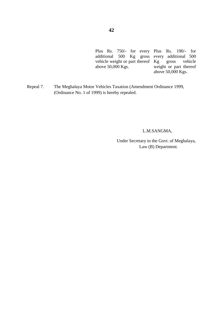Plus Rs. 750/- for every Plus Rs. 190/- for additional 500 Kg gross vehicle weight or part thereof Kg above 50,000 Kgs. every additional 500 gross vehicle weight or part thereof above 50,000 Kgs.

Repeal 7. The Meghalaya Motor Vehicles Taxation (Amendment Ordinance 1999, (Ordinance No. 1 of 1999) is hereby repealed.

#### L.M.SANGMA,

 Under Secretary to the Govt. of Meghalaya, Law (B) Department.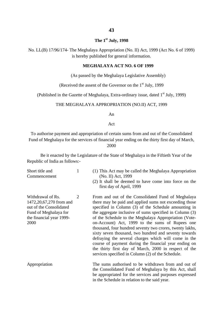#### **The 1st July, 1998**

No. LL(B) 17/96/174- The Meghalaya Appropriation (No. II) Act, 1999 (Act No. 6 of 1999) is hereby published for general information.

#### **MEGHALAYA ACT NO. 6 OF 1999**

(As passed by the Meghalaya Legislative Assembly)

(Received the assent of the Governor on the  $1<sup>st</sup>$  July, 1999

(Published in the Gazette of Meghalaya, Extra-ordinary issue, dated  $1<sup>st</sup>$  July, 1999)

#### THE MEGHALAYA APPROPRIATION (NO.II) ACT, 1999

An

Act

To authorise payment and appropriation of certain sums from and out of the Consolidated Fund of Meghalaya for the services of financial year ending on the thirty first day of March, 2000

Be it enacted by the Legislature of the State of Meghalaya in the Fiftieth Year of the Republic of India as follows:-

| Short title and<br>Commencement                                                                                                         | 1 | (1) This Act may be called the Meghalaya Appropriation<br>(No. II) Act, 1999<br>(2) It shall be deemed to have come into force on the<br>first day of April, 1999                                                                                                                                                                                                                                                                                                                                                                                                                                                                                                                               |
|-----------------------------------------------------------------------------------------------------------------------------------------|---|-------------------------------------------------------------------------------------------------------------------------------------------------------------------------------------------------------------------------------------------------------------------------------------------------------------------------------------------------------------------------------------------------------------------------------------------------------------------------------------------------------------------------------------------------------------------------------------------------------------------------------------------------------------------------------------------------|
| Withdrawal of Rs.<br>1472, 20, 67, 270 from and<br>out of the Consolidated<br>Fund of Meghalaya for<br>the financial year 1999-<br>2000 | 2 | From and out of the Consolidated Fund of Meghalaya<br>there may be paid and applied sums not exceeding those<br>specified in Column (3) of the Schedule amounting in<br>the aggregate inclusive of sums specified in Column (3)<br>of the Schedule to the Meghalaya Appropriation (Vote-<br>on-Account) Act, 1999 to the sums of Rupees one<br>thousand, four hundred seventy two crores, twenty lakhs,<br>sixty seven thousand, two hundred and seventy towards<br>defraying the several charges which will come in the<br>course of payment during the financial year ending on<br>the thirty first day of March, 2000 in respect of the<br>services specified in Column (2) of the Schedule. |
| Appropriation                                                                                                                           |   | The sums authorised to be withdrawn from and out of<br>the Consolidated Fund of Meghalaya by this Act, shall<br>be appropriated for the services and purposes expressed<br>in the Schedule in relation to the said year.                                                                                                                                                                                                                                                                                                                                                                                                                                                                        |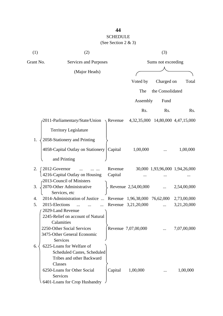| (1)       | (2)                                                                       |         |                                   | (3)              |                                |
|-----------|---------------------------------------------------------------------------|---------|-----------------------------------|------------------|--------------------------------|
| Grant No. | Services and Purposes                                                     |         | Sums not exceeding                |                  |                                |
|           | (Major Heads)                                                             |         |                                   |                  |                                |
|           |                                                                           |         | Voted by                          | Charged on       | Total                          |
|           |                                                                           |         | The                               | the Consolidated |                                |
|           |                                                                           |         | Assembly                          | Fund             |                                |
|           |                                                                           |         |                                   |                  |                                |
|           |                                                                           |         | Rs.                               | Rs.              | Rs.                            |
|           | $\sim$ 2011-Parliamentary/State/Union $\rightarrow$ Revenue               |         | 4,32,35,000 14,80,000 4,47,15,000 |                  |                                |
|           | <b>Territory Legislature</b>                                              |         |                                   |                  |                                |
| 1.        | 2058-Stationery and Printing                                              |         |                                   |                  |                                |
|           |                                                                           |         |                                   |                  |                                |
|           | 4058-Capital Outlay on Stationery                                         | Capital | 1,00,000                          |                  | 1,00,000                       |
|           | and Printing                                                              |         |                                   |                  |                                |
| 2.        | 2012-Governor<br>$\cdots$                                                 | Revenue |                                   |                  | 30,000 1,93,96,000 1,94,26,000 |
|           | 4216-Capital Outlay on Housing                                            | Capital |                                   |                  |                                |
|           | -2013-Council of Ministers                                                |         |                                   |                  |                                |
| 3.        | 2070-Other Administrative                                                 |         | Revenue 2,54,00,000               |                  | 2,54,00,000                    |
|           | Services, etc                                                             |         |                                   |                  |                                |
| 4.        | 2014-Administration of Justice  Revenue 1,96,38,000 76,62,000 2,73,00,000 |         |                                   |                  |                                |
| 5.        | 2015-Elections<br>$\dddotsc$                                              |         | Revenue 3,21,20,000               |                  | 3,21,20,000                    |
|           | 2029-Land Revenue                                                         |         |                                   |                  |                                |
|           | 2245-Relief on account of Natural                                         |         |                                   |                  |                                |
|           | Calamities                                                                |         |                                   |                  |                                |
|           | 2250-Other Social Services                                                |         | Revenue 7,07,00,000               |                  | 7,07,00,000                    |
|           | 3475-Other General Economic                                               |         |                                   |                  |                                |
|           | Services                                                                  |         |                                   |                  |                                |
| 6.        | 6225-Loans for Welfare of                                                 |         |                                   |                  |                                |
|           | <b>Scheduled Castes, Scheduled</b>                                        |         |                                   |                  |                                |
|           | Tribes and other Backward                                                 |         |                                   |                  |                                |
|           | Classes                                                                   |         |                                   |                  |                                |
|           | 6250-Loans for Other Social                                               | Capital | 1,00,000                          |                  | 1,00,000                       |
|           | Services                                                                  |         |                                   |                  |                                |
|           | 6401-Loans for Crop Husbandry                                             |         |                                   |                  |                                |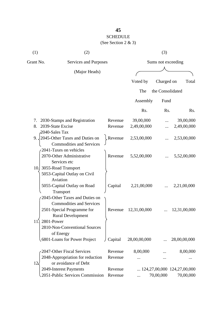# SCHEDULE

| (1)         | (2)                                                                  |                    |                    | (3)              |                                                   |
|-------------|----------------------------------------------------------------------|--------------------|--------------------|------------------|---------------------------------------------------|
| Grant No.   | Services and Purposes                                                |                    | Sums not exceeding |                  |                                                   |
|             | (Major Heads)                                                        |                    |                    |                  |                                                   |
|             |                                                                      |                    | Voted by           | Charged on       | Total                                             |
|             |                                                                      |                    | The                | the Consolidated |                                                   |
|             |                                                                      |                    | Assembly           | Fund             |                                                   |
|             |                                                                      |                    | Rs.                | Rs.              | Rs.                                               |
| 7.          | 2030-Stamps and Registration                                         | Revenue            | 39,00,000          | $\cdots$         | 39,00,000                                         |
| 8.          | 2039-State Excise<br>2040-Sales Tax                                  | Revenue            | 2,49,00,000        |                  | 2,49,00,000                                       |
|             | 9. 2045-Other Taxes and Duties on<br><b>Commodities and Services</b> | Revenue            | 2,53,00,000        |                  | 2,53,00,000                                       |
|             | 2041-Taxes on vehicles<br>2070-Other Administrative<br>Services etc  | Revenue            | 5,52,00,000        |                  | 5,52,00,000                                       |
|             | 10. 3055-Road Transport<br>5053-Capital Outlay on Civil<br>Aviation  |                    |                    |                  |                                                   |
|             | 5055-Capital Outlay on Road<br>Transport                             | Capital            | 2,21,00,000        |                  | 2,21,00,000                                       |
|             | 2045-Other Taxes and Duties on<br><b>Commodities and Services</b>    |                    |                    |                  |                                                   |
|             | 2501-Special Programme for<br><b>Rural Development</b>               | Revenue            | 12,31,00,000       |                  | 12,31,00,000                                      |
| 11.         | 2801-Power<br>2810-Non-Conventional Sources<br>of Energy             |                    |                    |                  |                                                   |
|             | 6801-Loans for Power Project                                         | Capital            | 28,00,00,000       |                  | 28,00,00,000                                      |
|             | 2047-Other Fiscal Services                                           | Revenue            | 8,00,000           |                  | 8,00,000                                          |
| $12\lambda$ | 2048-Appropriation for reduction<br>or avoidance of Debt             | Revenue            |                    |                  |                                                   |
|             | 2049-Interest Payments<br>2051-Public Services Commission            | Revenue<br>Revenue |                    | 70,00,000        | $\ldots$ 124,27,00,000 124,27,00,000<br>70,00,000 |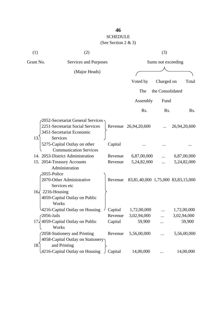# SCHEDULE

| (1)       | (2)                                                                               |         |                                    | (3)                |              |
|-----------|-----------------------------------------------------------------------------------|---------|------------------------------------|--------------------|--------------|
| Grant No. | Services and Purposes                                                             |         |                                    | Sums not exceeding |              |
|           | (Major Heads)                                                                     |         |                                    |                    |              |
|           |                                                                                   |         | Voted by                           | Charged on         | Total        |
|           |                                                                                   |         | The                                | the Consolidated   |              |
|           |                                                                                   |         | Assembly                           | Fund               |              |
|           |                                                                                   |         | Rs.                                | Rs.                | Rs.          |
|           | 2052-Secretariat General Services                                                 |         |                                    |                    |              |
|           | 2251-Secretariat Social Services<br>3451-Secretariat Economic                     |         | Revenue 26,94,20,600               |                    | 26,94,20,600 |
| 13.       | <b>Services</b><br>5275-Capital Outlay on other<br><b>Communication Services</b>  | Capital |                                    |                    |              |
|           | 14. 2053-District Administration                                                  | Revenue | 6,87,00,000                        |                    | 6,87,00,000  |
|           | 15. 2054-Treasury Accounts<br>Administration                                      | Revenue | 5,24,82,000                        |                    | 5,24,82,000  |
|           | 2055-Police<br>2070-Other Administrative<br>Services etc                          | Revenue | 83,81,40,000 1,75,000 83,83,15,000 |                    |              |
|           | $16\sqrt{2216}$ -Housing<br>4059-Capital Outlay on Public<br>Works                |         |                                    |                    |              |
|           | 4216-Capital Outlay on Housing                                                    | Capital | 1,72,00,000                        |                    | 1,72,00,000  |
|           | $\sqrt{2056}$ -Jails                                                              | Revenue | 3,02,94,000                        |                    | 3,02,94,000  |
|           | $17\frac{1}{2}$ 4059-Capital Outlay on Public<br>Works                            | Capital | 59,900                             |                    | 59,900       |
| 18.       | 2058-Stationery and Printing<br>4058-Capital Outlay on Stationery<br>and Printing | Revenue | 5,56,00,000                        |                    | 5,56,00,000  |
|           | 4216-Capital Outlay on Housing                                                    | Capital | 14,00,000                          |                    | 14,00,000    |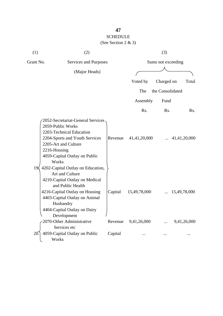| (1)          | (2)                                                                                                                                                                                                                                                            |         |              | (3)                |                  |
|--------------|----------------------------------------------------------------------------------------------------------------------------------------------------------------------------------------------------------------------------------------------------------------|---------|--------------|--------------------|------------------|
| Grant No.    | Services and Purposes                                                                                                                                                                                                                                          |         |              | Sums not exceeding |                  |
|              | (Major Heads)                                                                                                                                                                                                                                                  |         |              |                    |                  |
|              |                                                                                                                                                                                                                                                                |         |              |                    |                  |
|              |                                                                                                                                                                                                                                                                |         | Voted by     | Charged on         | Total            |
|              |                                                                                                                                                                                                                                                                |         | The          | the Consolidated   |                  |
|              |                                                                                                                                                                                                                                                                |         | Assembly     | Fund               |                  |
|              |                                                                                                                                                                                                                                                                |         | Rs.          | Rs.                | R <sub>s</sub> . |
| $19\sqrt{ }$ | 2052-Secretariat-General Services<br>2059-Public Works<br>2203-Technical Education<br>2204-Sports and Youth Services<br>2205-Art and Culture<br>2216-Housing<br>4059-Capital Outlay on Public<br>Works<br>4202-Capital Outlay on Education,<br>Art and Culture | Revenue | 41,41,20,000 |                    | 41,41,20,000     |
|              | 4210-Capital Outlay on Medical<br>and Public Health<br>4216-Capital Outlay on Housing<br>4403-Capital Outlay on Animal<br>Husbandry<br>4404-Capital Outlay on Dairy<br>Development                                                                             | Capital | 15,49,78,000 |                    | 15,49,78,000     |
|              | 2070-Other Administrative                                                                                                                                                                                                                                      | Revenue | 9,41,26,000  |                    | 9,41,26,000      |
| 20           | Services etc<br>4059-Capital Outlay on Public<br>Works                                                                                                                                                                                                         | Capital |              |                    |                  |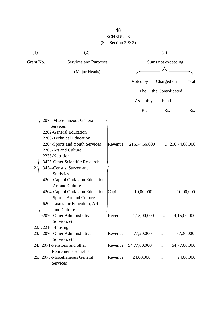# SCHEDULE

| (1)       | (2)                                                                                                                                                                                                                                                        |         |                          | (3)                |                          |
|-----------|------------------------------------------------------------------------------------------------------------------------------------------------------------------------------------------------------------------------------------------------------------|---------|--------------------------|--------------------|--------------------------|
| Grant No. | Services and Purposes                                                                                                                                                                                                                                      |         |                          | Sums not exceeding |                          |
|           | (Major Heads)                                                                                                                                                                                                                                              |         |                          |                    |                          |
|           |                                                                                                                                                                                                                                                            |         | Voted by                 | Charged on         | Total                    |
|           |                                                                                                                                                                                                                                                            |         | The                      | the Consolidated   |                          |
|           |                                                                                                                                                                                                                                                            |         | Assembly                 | Fund               |                          |
|           |                                                                                                                                                                                                                                                            |         |                          |                    |                          |
|           |                                                                                                                                                                                                                                                            |         | Rs.                      | Rs.                | Rs.                      |
| 21        | 2075-Miscellaneous General<br>Services<br>2202-General Education<br>2203-Technical Education<br>2204-Sports and Youth Services<br>2205-Art and Culture<br>2236-Nutrition<br>3425-Other Scientific Research<br>3454-Census, Survey and<br><b>Statistics</b> | Revenue | 216,74,66,000            |                    | $\ldots$ 216,74,66,000   |
|           | 4202-Capital Outlay on Education,<br>Art and Culture<br>4204-Capital Outlay on Education, Capital<br>Sports, Art and Culture<br>6202-Loans for Education, Art<br>and Culture<br>2070-Other Administrative                                                  | Revenue | 10,00,000<br>4,15,00,000 |                    | 10,00,000<br>4,15,00,000 |
|           | Services etc                                                                                                                                                                                                                                               |         |                          |                    |                          |
|           | 22. $\text{\textbackslash}2216\text{-}\text{Housing}$<br>23. 2070-Other Administrative<br>Services etc                                                                                                                                                     | Revenue | 77,20,000                |                    | 77,20,000                |
|           | 24. 2071-Pensions and other                                                                                                                                                                                                                                | Revenue | 54,77,00,000             | $\cdots$           | 54,77,00,000             |
|           | <b>Retirements Benefits</b><br>25. 2075-Miscellaneous General<br>Services                                                                                                                                                                                  | Revenue | 24,00,000                |                    | 24,00,000                |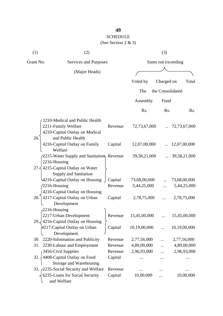# SCHEDULE

| (1)       | (2)                                                    |         |              | (3)                |              |
|-----------|--------------------------------------------------------|---------|--------------|--------------------|--------------|
| Grant No. | Services and Purposes                                  |         |              | Sums not exceeding |              |
|           | (Major Heads)                                          |         |              |                    |              |
|           |                                                        |         | Voted by     | Charged on         | Total        |
|           |                                                        |         |              |                    |              |
|           |                                                        |         | The          | the Consolidated   |              |
|           |                                                        |         | Assembly     | Fund               |              |
|           |                                                        |         | Rs.          | Rs.                | Rs.          |
|           | 2210-Medical and Public Health                         |         |              |                    |              |
|           | 2211-Family Welfare                                    | Revenue | 72,73,67,000 |                    | 72,73,67,000 |
| 26.       | 4210-Capital Outlay on Medical<br>and Public Health    |         |              |                    |              |
|           | 4216-Capital Outlay on Family<br>Welfare               | Capital | 12,07,00,000 |                    | 12,07,00,000 |
|           | 2215-Water Supply and Sanitation, Revenue              |         | 39,58,21,000 |                    | 39,58,21,000 |
|           | 2216-Housing                                           |         |              |                    |              |
|           | 27. $\langle$ 4215-Capital Outlay on Water             |         |              |                    |              |
|           | Supply and Sanitation                                  |         |              |                    |              |
|           | 4216-Capital Outlay on Housing                         | Capital | 73,68,00,000 |                    | 73,68,00,000 |
|           | $2216$ -Housing                                        | Revenue | 5,44,25,000  |                    | 5,44,25,000  |
|           | 4216-Capital Outlay on Housing                         |         |              |                    |              |
| 28.       | 4217-Capital Outlay on Urban<br>Development            | Capital | 2,78,75,000  |                    | 2,78,75,000  |
|           | $2216$ -Housing                                        |         |              |                    |              |
|           | 2217-Urban Development                                 | Revenue | 15,45,00,000 |                    | 15,45,00,000 |
|           | 29. 4216-Capital Outlay on Housing                     |         |              |                    |              |
|           | 4217-Capital Outlay on Urban<br>Development            | Capital | 10,19,00,000 |                    | 10,19,00,000 |
| 30.       | 2220-Information and Publicity                         | Revenue | 2,77,56,000  |                    | 2,77,56,000  |
| 31.       | 2230-Labour and Employment                             | Revenue | 4,89,00,000  |                    | 4,89,00,000  |
|           | 3456-Civil Supplies                                    | Revenue | 2,96,93,000  |                    | 2,96,93,000  |
| 32.       | 4408-Capital Outlay on Food<br>Storage and Warehousing | Capital |              |                    |              |
|           | 33. 2235-Social Security and Welfare                   | Revenue |              |                    |              |
|           | 6235-Loans for Social Security<br>and Welfare          | Capital | 10,00,000    |                    | 10,00,000    |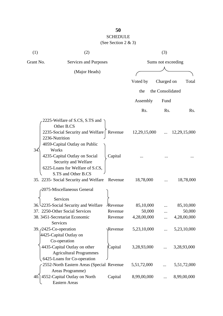# SCHEDULE

| (1)                             | (2)                                                                                                                                 |                |                    | (3)              |              |
|---------------------------------|-------------------------------------------------------------------------------------------------------------------------------------|----------------|--------------------|------------------|--------------|
| Grant No.                       | Services and Purposes                                                                                                               |                | Sums not exceeding |                  |              |
|                                 | (Major Heads)                                                                                                                       |                |                    |                  |              |
|                                 |                                                                                                                                     |                |                    |                  |              |
|                                 |                                                                                                                                     |                | Voted by           | Charged on       | Total        |
|                                 |                                                                                                                                     |                | the                | the Consolidated |              |
|                                 |                                                                                                                                     |                | Assembly           | Fund             |              |
|                                 |                                                                                                                                     |                | Rs.                | Rs.              | Rs.          |
|                                 | 2225-Welfare of S.CS, S.TS and<br>Other B.CS<br>2235-Social Security and Welfare<br>2236-Nutrition<br>4059-Capital Outlay on Public | Revenue        | 12,29,15,000       |                  | 12,29,15,000 |
| 34                              | Works<br>4235-Capital Outlay on Social<br>Security and Welfare<br>6225-Loans for Welfare of S.CS,<br>S.TS and Other B.CS            | Capital        |                    |                  |              |
|                                 | 35. 2235- Social Security and Welfare                                                                                               | Revenue        | 18,78,000          |                  | 18,78,000    |
|                                 | 2075-Miscellaneous General<br>Services                                                                                              |                |                    |                  |              |
|                                 | 36. 2235-Social Security and Welfare                                                                                                | Revenue        | 85,10,000          |                  | 85,10,000    |
|                                 | 37. 2250-Other Social Services                                                                                                      | Revenue        | 50,000             |                  | 50,000       |
|                                 | 38. 3451-Secretariat Economic<br>Services                                                                                           | Revenue        | 4,28,00,000        |                  | 4,28,00,000  |
| 39. $\sqrt{2425}$ -Co-operation | 4425-Capital Outlay on<br>Co-operation                                                                                              | <b>Revenue</b> | 5,23,10,000        |                  | 5,23,10,000  |
|                                 | 4435-Capital Outlay on other<br><b>Agricultural Programmes</b><br>6425-Loans for Co-operation                                       | Capital        | 3,28,93,000        |                  | 3,28,93,000  |
|                                 | 2552-North Eastern Areas (Special Revenue<br>Areas Programme)                                                                       |                | 5,51,72,000        |                  | 5,51,72,000  |
|                                 | 40.] 4552-Capital Outlay on North<br><b>Eastern Areas</b>                                                                           | Capital        | 8,99,00,000        |                  | 8,99,00,000  |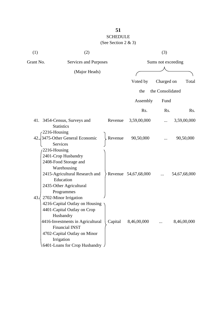| (1) | (2)                                                                                                                                                                                                                                              |         |                      | (3)              |              |
|-----|--------------------------------------------------------------------------------------------------------------------------------------------------------------------------------------------------------------------------------------------------|---------|----------------------|------------------|--------------|
|     | Grant No.<br>Services and Purposes                                                                                                                                                                                                               |         | Sums not exceeding   |                  |              |
|     | (Major Heads)                                                                                                                                                                                                                                    |         |                      |                  |              |
|     |                                                                                                                                                                                                                                                  |         | Voted by             | Charged on       | Total        |
|     |                                                                                                                                                                                                                                                  |         | the                  | the Consolidated |              |
|     |                                                                                                                                                                                                                                                  |         | Assembly             | Fund             |              |
|     |                                                                                                                                                                                                                                                  |         | Rs.                  | Rs.              | Rs.          |
|     | 41. 3454-Census, Surveys and<br><b>Statistics</b>                                                                                                                                                                                                | Revenue | 3,59,00,000          |                  | 3,59,00,000  |
| 42. | 2216-Housing<br>3475-Other General Economic<br>Services                                                                                                                                                                                          | Revenue | 90,50,000            |                  | 90,50,000    |
|     | 2216-Housing<br>2401-Crop Husbandry<br>2408-Food Storage and<br>Warehousing<br>2415-Agricultural Research and<br>Education<br>2435-Other Agricultural<br>Programmes                                                                              |         | Revenue 54,67,68,000 |                  | 54,67,68,000 |
| 43. | 2702-Minor Irrigation<br>4216-Capital Outlay on Housing<br>4401-Capital Outlay on Crop<br>Husbandry<br>4416-Investments in Agricultural<br><b>Financial INST</b><br>4702-Capital Outlay on Minor<br>Irrigation<br>A6401-Loans for Crop Husbandry | Capital | 8,46,00,000          |                  | 8,46,00,000  |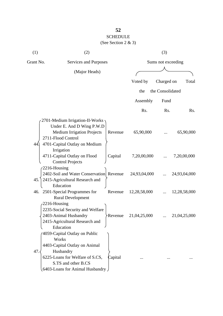| (1)          | (2)                                      |         |                    | (3)              |              |
|--------------|------------------------------------------|---------|--------------------|------------------|--------------|
| Grant No.    | Services and Purposes                    |         | Sums not exceeding |                  |              |
|              | (Major Heads)                            |         |                    |                  |              |
|              |                                          |         | Voted by           | Charged on       | Total        |
|              |                                          |         |                    |                  |              |
|              |                                          |         | the                | the Consolidated |              |
|              |                                          |         | Assembly           | Fund             |              |
|              |                                          |         | Rs.                | Rs.              | Rs.          |
|              | 2701-Medium Irrigation-II-Works          |         |                    |                  |              |
|              | Under E. And D Wing P.W.D                |         |                    |                  |              |
|              | <b>Medium Irrigation Projects</b>        | Revenue | 65,90,000          |                  | 65,90,000    |
|              | 2711-Flood Control                       |         |                    |                  |              |
| 44           | 4701-Capital Outlay on Medium            |         |                    |                  |              |
|              | Irrigation                               |         |                    |                  |              |
|              | 4711-Capital Outlay on Flood             | Capital | 7,20,00,000        |                  | 7,20,00,000  |
|              | <b>Control Projects</b>                  |         |                    |                  |              |
| 2216-Housing |                                          |         |                    |                  |              |
|              | 2402-Soil and Water Conservation Revenue |         | 24,93,04,000       |                  | 24,93,04,000 |
| 45.          | 2415-Agricultural Research and           |         |                    |                  |              |
|              | Education                                |         |                    |                  |              |
|              | 46. 2501-Special Programmes for          | Revenue | 12,28,58,000       |                  | 12,28,58,000 |
|              | <b>Rural Development</b>                 |         |                    |                  |              |
| 2216-Housing |                                          |         |                    |                  |              |
|              | 2235-Social Security and Welfare         |         |                    |                  |              |
|              | 2403-Animal Husbandry                    | Revenue | 21,04,25,000       |                  | 21,04,25,000 |
|              | 2415-Agricultural Research and           |         |                    |                  |              |
|              | Education                                |         |                    |                  |              |
|              | 4059-Capital Outlay on Public<br>Works   |         |                    |                  |              |
|              | 4403-Capital Outlay on Animal            |         |                    |                  |              |
| 47.          | Husbandry                                |         |                    |                  |              |
|              | 6225-Loans for Welfare of S.CS,          | Capital |                    |                  |              |
|              | S.TS and other B.CS                      |         |                    |                  |              |
|              | 6403-Loans for Animal Husbandry          |         |                    |                  |              |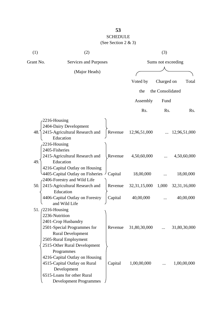| (1)       | (2)                                              |         |                    | (3)              |                  |
|-----------|--------------------------------------------------|---------|--------------------|------------------|------------------|
| Grant No. | Services and Purposes                            |         | Sums not exceeding |                  |                  |
|           | (Major Heads)                                    |         |                    |                  |                  |
|           |                                                  |         | Voted by           | Charged on       | Total            |
|           |                                                  |         |                    |                  |                  |
|           |                                                  |         | the                | the Consolidated |                  |
|           |                                                  |         | Assembly           | Fund             |                  |
|           |                                                  |         | Rs.                | Rs.              | R <sub>s</sub> . |
|           | 2216-Housing                                     |         |                    |                  |                  |
|           | 2404-Dairy Development                           |         |                    |                  |                  |
| 48.       | 2415-Agricultural Research and                   | Revenue | 12,96,51,000       |                  | 12,96,51,000     |
|           | Education                                        |         |                    |                  |                  |
|           | 2216-Housing                                     |         |                    |                  |                  |
|           | 2405-Fisheries                                   |         |                    |                  |                  |
|           | 2415-Agricultural Research and                   | Revenue | 4,50,60,000        |                  | 4,50,60,000      |
| 49.       | Education                                        |         |                    |                  |                  |
|           | 4216-Capital Outlay on Housing                   |         |                    |                  |                  |
|           | 4405-Capital Outlay on Fisheries                 | Capital | 18,00,000          |                  | 18,00,000        |
|           | 2406-Forestry and Wild Life                      |         |                    |                  |                  |
| 50.       | 2415-Agricultural Research and                   | Revenue | 32, 31, 15, 000    | 1,000            | 32, 31, 16, 000  |
|           | Education                                        |         |                    |                  |                  |
|           | 4406-Capital Outlay on Forestry<br>and Wild Life | Capital | 40,00,000          |                  | 40,00,000        |
|           | 51. (2216-Housing                                |         |                    |                  |                  |
|           | 2236-Nutrition                                   |         |                    |                  |                  |
|           | 2401-Crop Husbandry                              |         |                    |                  |                  |
|           | 2501-Special Programmes for                      | Revenue | 31,80,30,000       | $\dddotsc$       | 31,80,30,000     |
|           | <b>Rural Development</b>                         |         |                    |                  |                  |
|           | 2505-Rural Employment                            |         |                    |                  |                  |
|           | 2515-Other Rural Development                     |         |                    |                  |                  |
|           | Programmes                                       |         |                    |                  |                  |
|           | 4216-Capital Outlay on Housing                   |         |                    |                  |                  |
|           | 4515-Capital Outlay on Rural                     | Capital | 1,00,00,000        |                  | 1,00,00,000      |
|           | Development                                      |         |                    |                  |                  |
|           | 6515-Loans for other Rural                       |         |                    |                  |                  |
|           | <b>Development Programmes</b>                    |         |                    |                  |                  |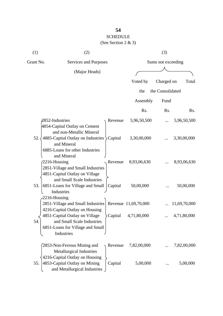# SCHEDULE

| (1)       | (2)                                                                                                                                                             |           |                      | (3)                |              |
|-----------|-----------------------------------------------------------------------------------------------------------------------------------------------------------------|-----------|----------------------|--------------------|--------------|
| Grant No. | Services and Purposes                                                                                                                                           |           |                      | Sums not exceeding |              |
|           | (Major Heads)                                                                                                                                                   |           |                      |                    |              |
|           |                                                                                                                                                                 |           | Voted by             | Charged on         | Total        |
|           |                                                                                                                                                                 |           | the                  | the Consolidated   |              |
|           |                                                                                                                                                                 |           | Assembly             | Fund               |              |
|           |                                                                                                                                                                 |           | Rs.                  | Rs.                | Rs.          |
|           | 2852-Industries                                                                                                                                                 | Revenue   | 5,96,50,500          | $\cdots$           | 5,96,50,500  |
| 52.       | 4854-Capital Outlay on Cement<br>and non-Metallic Mineral<br>4885-Capital Outlay on Industries<br>and Mineral<br>6885-Loans for other Industries<br>and Mineral | Capital   | 3,30,00,000          |                    | 3,30,00,000  |
|           | 2216-Housing<br>2851-Village and Small Industries<br>4851-Capital Outlay on Village<br>and Small Scale Industries                                               | Revenue   | 8,93,06,630          |                    | 8,93,06,630  |
| 53.       | 6851-Loans for Village and Small<br>Industries<br>$-2216$ -Housing                                                                                              | Capital   | 50,00,000            |                    | 50,00,000    |
|           | 2851-Village and Small Industries<br>4216-Capital Outlay on Housing                                                                                             |           | Revenue 11,69,70,000 |                    | 11,69,70,000 |
| 54.       | 4851-Capital Outlay on Village<br>and Small Scale Industries<br>6851-Loans for Village and Small<br>Industries                                                  | > Capital | 4,71,80,000          |                    | 4,71,80,000  |
|           | 2853-Non-Ferrous Mining and<br><b>Metallurgical Industries</b><br>4216-Capital Outlay on Housing                                                                | Revenue   | 7,82,00,000          |                    | 7,82,00,000  |
| 55.       | 4853-Capital Outlay on Mining<br>and Metallurgical Industries                                                                                                   | Capital   | 5,00,000             |                    | 5,00,000     |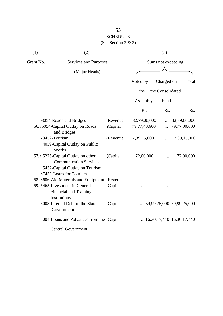| (See Section 2 & 3) |  |  |
|---------------------|--|--|
|                     |  |  |

| (1)       | (2)                                                                                                                                     |         |              | (3)                |                                    |
|-----------|-----------------------------------------------------------------------------------------------------------------------------------------|---------|--------------|--------------------|------------------------------------|
| Grant No. | Services and Purposes                                                                                                                   |         |              | Sums not exceeding |                                    |
|           | (Major Heads)                                                                                                                           |         |              |                    |                                    |
|           |                                                                                                                                         |         | Voted by     | Charged on         | Total                              |
|           |                                                                                                                                         |         | the          | the Consolidated   |                                    |
|           |                                                                                                                                         |         | Assembly     | Fund               |                                    |
|           |                                                                                                                                         |         | Rs.          | Rs.                | Rs.                                |
|           | 3054-Roads and Bridges                                                                                                                  | Revenue | 32,79,00,000 |                    | 32,79,00,000                       |
|           | 56. 5054-Capital Outlay on Roads<br>and Bridges                                                                                         | Capital | 79,77,43,600 |                    | 79,77,00,600                       |
|           | 3452-Tourism<br>4059-Capital Outlay on Public<br>Works                                                                                  | Revenue | 7,39,15,000  |                    | 7,39,15,000                        |
|           | 57. $\langle$ 5275-Capital Outlay on other<br><b>Communication Services</b><br>5452-Capital Outlay on Tourism<br>7452-Loans for Tourism | Capital | 72,00,000    |                    | 72,00,000                          |
|           | 58. 3606-Aid Materials and Equipment                                                                                                    | Revenue |              |                    |                                    |
|           | 59. 5465-Investment in General<br><b>Financial and Training</b><br>Institutions                                                         | Capital |              |                    |                                    |
|           | 6003-Internal Debt of the State<br>Government                                                                                           | Capital |              |                    | $\ldots$ 59,99,25,000 59,99,25,000 |
|           | 6004-Loans and Advances from the Capital                                                                                                |         |              |                    | $\ldots$ 16,30,17,440 16,30,17,440 |
|           | <b>Central Government</b>                                                                                                               |         |              |                    |                                    |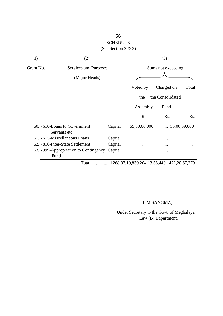| (1)       | (2)                                         |         |                                             | (3)                |                       |
|-----------|---------------------------------------------|---------|---------------------------------------------|--------------------|-----------------------|
| Grant No. | Services and Purposes                       |         |                                             | Sums not exceeding |                       |
|           | (Major Heads)                               |         |                                             |                    |                       |
|           |                                             |         | Voted by                                    | Charged on         | Total                 |
|           |                                             |         | the                                         | the Consolidated   |                       |
|           |                                             |         | Assembly                                    | Fund               |                       |
|           |                                             |         | Rs.                                         | Rs.                | Rs.                   |
|           | 60.7610-Loans to Government<br>Servants etc | Capital | 55,00,00,000                                |                    | $\ldots$ 55,00,09,000 |
|           | 61.7615-Miscellaneous Loans                 | Capital |                                             |                    | $\ddotsc$             |
|           | 62. 7810-Inter-State Settlement             | Capital |                                             |                    | .                     |
|           | 63. 7999-Appropriation to Contingency       | Capital | .                                           |                    |                       |
|           | Fund                                        |         |                                             |                    |                       |
|           | Total                                       |         | 1268,07,10,830 204,13,56,440 1472,20,67,270 |                    |                       |

### L.M.SANGMA,

 Under Secretary to the Govt. of Meghalaya, Law (B) Department.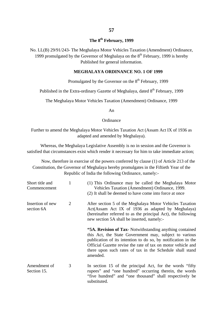# **The 8th February, 1999**

No. LL(B) 29/91/243- The Meghalaya Motor Vehicles Taxation (Amendment) Ordinance, 1999 promulgated by the Governor of Meghalaya on the  $8<sup>th</sup>$  February, 1999 is hereby Published for general information.

#### **MEGHALAYA ORDINANCE NO. 1 OF 1999**

Promulgated by the Governor on the  $8<sup>th</sup>$  February, 1999

Published in the Extra-ordinary Gazette of Meghalaya, dated 8<sup>th</sup> February, 1999

The Meghalaya Motor Vehicles Taxation (Amendment) Ordinance, 1999

An

#### **Ordinance**

Further to amend the Meghalaya Motor Vehicles Taxation Act (Assam Act IX of 1936 as adapted and amended by Meghalaya).

Whereas, the Meghalaya Legislative Assembly is no in session and the Governor is satisfied that circumstances exist which render it necessary for him to take immediate action;

Now, therefore in exercise of the powers conferred by clause (1) of Article 213 of the Constitution, the Governor of Meghalaya hereby promulgates in the Fiftieth Year of the Republic of India the following Ordinance, namely:-

| Short title and<br>Commencement | 1 | (1) This Ordinance may be called the Meghalaya Motor<br>Vehicles Taxation (Amendment) Ordinance, 1999.<br>(2) It shall be deemed to have come into force at once                                                                                                                                                            |
|---------------------------------|---|-----------------------------------------------------------------------------------------------------------------------------------------------------------------------------------------------------------------------------------------------------------------------------------------------------------------------------|
| Insertion of new<br>section 6A  | 2 | After section 5 of the Meghalaya Motor Vehicles Taxation<br>Act(Assam Act IX of 1936 as adapted by Meghalaya)<br>(hereinafter referred to as the principal Act), the following<br>new section 5A shall be inserted, namely:-                                                                                                |
|                                 |   | "5A. Revision of Tax- Notwithstanding anything contained<br>this Act, the State Government may, subject to various<br>publication of its intention to do so, by notification in the<br>Official Gazette revise the rate of tax on motor vehicle and<br>there upon such rates of tax in the Schedule shall stand<br>amended. |
| Amendment of<br>Section 15.     | 3 | In section 15 of the principal Act, for the words "fifty"<br>rupees" and "one hundred" occurring therein, the words<br>"five hundred" and "one thousand" shall respectively be<br>substituted.                                                                                                                              |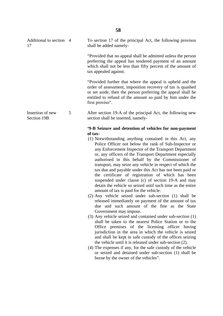| Additional to section 4<br>17   |   | To section 17 of the principal Act, the following provisos<br>shall be added namely-                                                                                                                                                                                                                                                                                                                                                                                                                                                                                                                                                                                                                                                                                                                                                                                                                                                                                                                                                                                                                                                                                                                                                                                                                                                                                                                                             |
|---------------------------------|---|----------------------------------------------------------------------------------------------------------------------------------------------------------------------------------------------------------------------------------------------------------------------------------------------------------------------------------------------------------------------------------------------------------------------------------------------------------------------------------------------------------------------------------------------------------------------------------------------------------------------------------------------------------------------------------------------------------------------------------------------------------------------------------------------------------------------------------------------------------------------------------------------------------------------------------------------------------------------------------------------------------------------------------------------------------------------------------------------------------------------------------------------------------------------------------------------------------------------------------------------------------------------------------------------------------------------------------------------------------------------------------------------------------------------------------|
|                                 |   | "Provided that no appeal shall be admitted unless the person<br>preferring the appeal has tendered payment of an amount<br>which shall not be less than fifty percent of the amount of<br>tax appealed against.                                                                                                                                                                                                                                                                                                                                                                                                                                                                                                                                                                                                                                                                                                                                                                                                                                                                                                                                                                                                                                                                                                                                                                                                                  |
|                                 |   | "Provided further that where the appeal is upheld and the<br>order of assessment, imposition recovery of tax is quashed<br>or set aside, then the person preferring the appeal shall be<br>entitled to refund of the amount so paid by him under the<br>first proviso".                                                                                                                                                                                                                                                                                                                                                                                                                                                                                                                                                                                                                                                                                                                                                                                                                                                                                                                                                                                                                                                                                                                                                          |
| Insertion of new<br>Section 19B | 5 | After section 19-A of the principal Act, the following new<br>section shall be inserted, namely-                                                                                                                                                                                                                                                                                                                                                                                                                                                                                                                                                                                                                                                                                                                                                                                                                                                                                                                                                                                                                                                                                                                                                                                                                                                                                                                                 |
|                                 |   | '9-B Seizure and detention of vehicles for non-payment<br>of tax-<br>(1) Notwithstanding anything contained in this Act, any<br>Police Officer not below the rank of Sub-Inspector or<br>any Enforcement Inspector of the Transport Department<br>or, any officers of the Transport Department especially<br>authorised in this behalf by the Commissioner of<br>transport, may seize any vehicle in respect of which the<br>tax due and payable under this Act has not been paid or<br>the certificate of registration of which has been<br>suspended under clause (c) of section 19-A and may<br>detain the vehicle so seized until such time as the entire<br>amount of tax is paid for the vehicle.<br>(2) Any vehicle seized under sub-section (1) shall be<br>released immediately on payment of the amount of tax<br>due and such amount of the fine as the State<br>Government may impose.<br>(3) Any vehicle seized and contained under sub-section (1)<br>shall be taken to the nearest Police Station or to the<br>Office premises of the licensing officer having<br>jurisdiction in the area in which the vehicle is seized<br>and shall be kept in safe custody of the offices seizing<br>the vehicle until it is released under sub-section (2).<br>(4) The expenses if any, for the safe custody of the vehicle<br>or seized and detained under sub-section (1) shall be<br>borne by the owner of the vehicles". |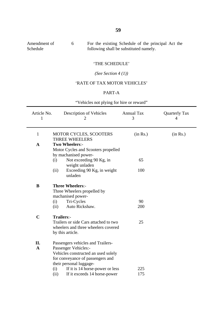| Amendment of | For the existing Schedule of the principal Act the |
|--------------|----------------------------------------------------|
| Schedule     | following shall be substituted namely.             |

#### 'THE SCHEDULE'

*(See Section 4 (1))*

### 'RATE OF TAX MOTOR VEHICLES'

### PART-A

"Vehicles not plying for hire or reward"

| Article No.<br>Description of Vehicles<br>2                                                                                                                                                               | <b>Annual Tax</b><br>3                                                         | <b>Quarterly Tax</b><br>4 |
|-----------------------------------------------------------------------------------------------------------------------------------------------------------------------------------------------------------|--------------------------------------------------------------------------------|---------------------------|
| <b>MOTOR CYCLES, SCOOTERS</b><br>THREE WHEELERS                                                                                                                                                           | (in Rs.)                                                                       | (in Rs.)                  |
| Two Wheelers:-<br>Motor Cycles and Scooters propelled                                                                                                                                                     |                                                                                |                           |
| Not exceeding 90 Kg, in<br>(i)                                                                                                                                                                            | 65                                                                             |                           |
| Exceeding 90 Kg, in weight<br>(ii)<br>unladen                                                                                                                                                             | 100                                                                            |                           |
| <b>Three Wheelers:-</b><br>Three Wheelers propelled by<br>machanised power-<br>Tri-Cycles<br>(i)<br>Auto Rickshaw.<br>(ii)                                                                                | 90<br>200                                                                      |                           |
| Trailers:-<br>Trailers or side Cars attached to two<br>wheelers and three wheelers covered<br>by this article.                                                                                            | 25                                                                             |                           |
| Passengers vehicles and Trailers-<br>Passenger Vehicles:-<br>Vehicles constructed an used solely<br>for conveyance of passengers and<br>their personal luggage-<br>If it is 14 horse-power or less<br>(i) | 225                                                                            |                           |
|                                                                                                                                                                                                           | by machanised power-<br>weight unladen<br>If it exceeds 14 horse-power<br>(ii) | 175                       |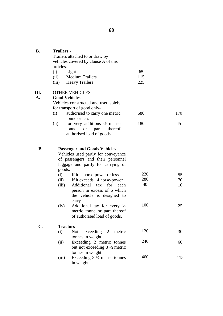| <b>B.</b>      | <b>Trailers:-</b><br>Trailers attached to or draw by<br>vehicles covered by clause A of this<br>articles. |                                                                                                                                                                      |                  |                |  |  |  |
|----------------|-----------------------------------------------------------------------------------------------------------|----------------------------------------------------------------------------------------------------------------------------------------------------------------------|------------------|----------------|--|--|--|
|                | (i)<br>(ii)<br>(iii)                                                                                      | Light<br><b>Medium Trailers</b><br><b>Heavy Trailers</b>                                                                                                             | 65<br>115<br>225 |                |  |  |  |
| Ш.<br>A.       |                                                                                                           | <b>OTHER VEHICLES</b><br><b>Good Vehicles-</b><br>Vehicles constructed and used solely<br>for transport of good only-                                                |                  |                |  |  |  |
|                | (i)                                                                                                       | authorised to carry one metric                                                                                                                                       | 680              | 170            |  |  |  |
|                | (ii)                                                                                                      | tonne or less<br>for very additions $\frac{1}{2}$ metric<br>part<br>thereof<br><b>or</b><br>tonne<br>authorised load of goods.                                       | 180              | 45             |  |  |  |
| <b>B.</b>      |                                                                                                           | <b>Passenger and Goods Vehicles-</b><br>Vehicles used partly for conveyance<br>of passengers and their personnel<br>luggage and partly for carrying of               |                  |                |  |  |  |
|                | (i)<br>(ii)<br>(iii)                                                                                      | goods.<br>If it is horse-power or less<br>If it exceeds 14 horse-power<br>Additional tax<br>for<br>each<br>person in excess of 6 which<br>the vehicle is designed to | 220<br>280<br>40 | 55<br>70<br>10 |  |  |  |
|                | (iv)                                                                                                      | carry<br>Additional tax for every $\frac{1}{2}$<br>metric tonne or part thereof<br>of authorised load of goods.                                                      | 100              | 25             |  |  |  |
| $\mathbf{C}$ . |                                                                                                           | <b>Tractors-</b>                                                                                                                                                     |                  |                |  |  |  |
|                | (i)                                                                                                       | exceeding <sub>2</sub><br><b>Not</b><br>metric<br>tonnes in weight                                                                                                   | 120              | 30             |  |  |  |
|                | (ii)                                                                                                      | Exceeding 2 metric tonnes<br>but not exceeding 3 1/2 metric                                                                                                          | 240              | 60             |  |  |  |
|                | (iii)                                                                                                     | tonnes in weight.<br>Exceeding $3\frac{1}{2}$ metric tonnes<br>in weight.                                                                                            | 460              | 115            |  |  |  |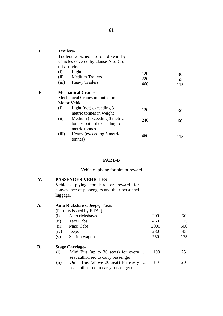| ۰.                 |  |
|--------------------|--|
| ×<br>I<br>v.<br>۰. |  |

| D. | <b>Trailers-</b><br>Trailers attached to or drawn by<br>vehicles covered by clause A to C of<br>this article.<br>Light<br>(i)<br>(ii) Medium Trailers<br>(iii) Heavy Trailers                                                                                                         | 120<br>220<br>460 | 30<br>55<br>115 |
|----|---------------------------------------------------------------------------------------------------------------------------------------------------------------------------------------------------------------------------------------------------------------------------------------|-------------------|-----------------|
| Е. | <b>Mechanical Cranes-</b><br>Mechanical Cranes mounted on<br><b>Motor Vehicles</b><br>Light (not) exceeding 3<br>(i)<br>metric tonnes in weight<br>Medium (exceeding 3 metric<br>(ii)<br>tonnes but not exceeding 5<br>metric tonnes<br>Heavy (exceeding 5 metric<br>(iii)<br>tonnes) | 120<br>240<br>460 | 30<br>60<br>115 |

#### **PART-B**

Vehicles plying for hire or reward

#### **IV. PASSENGER VEHICLES**

Vehicles plying for hire or reward for conveyance of passengers and their personnel luggage.

#### **A. Auto Rickshaws, Jeeps, Taxis-**

**B.**

(Permits issued by RTAs)

| $\rm(i)$ | Auto rickshaws                      | 200  | 50  |
|----------|-------------------------------------|------|-----|
| (ii)     | Taxi Cabs                           | 460  | 115 |
| (iii)    | Maxi Cabs                           | 2000 | 500 |
| (iv)     | Jeeps                               | 280  | 45  |
| (v)      | <b>Station wagons</b>               | 750  | 175 |
|          | <b>Stage Carriage-</b>              |      |     |
|          |                                     |      |     |
| (i)      | Mini Bus (up to 30 seats) for every | 100  | 25  |
|          | seat authorised to carry passenger. |      |     |
| (ii)     | Omni Bus (above 30 seat) for every  | 80   |     |
|          | seat authorised to carry passenger) |      |     |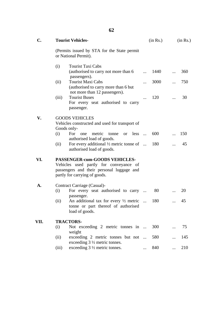| ×<br>I<br>v. |
|--------------|
|--------------|

| $C_{\bullet}$ |             | <b>Tourist Vehicles-</b>                                                                                                                              | (in Rs.)   |      | (in Rs.) |     |
|---------------|-------------|-------------------------------------------------------------------------------------------------------------------------------------------------------|------------|------|----------|-----|
|               |             | (Permits issued by STA for the State permit)<br>or National Permit).                                                                                  |            |      |          |     |
|               | (i)         | <b>Tourist Taxi Cabs</b><br>(authorised to carry not more than 6)<br>passengers).                                                                     | $\dddotsc$ | 1440 |          | 360 |
|               | (ii)        | <b>Tourist Maxi Cabs</b><br>(authorised to carry more than 6 but<br>not more than 12 passengers).                                                     |            | 3000 |          | 750 |
|               | (iii)       | <b>Tourist Buses</b><br>For every seat authorised to carry<br>passenger.                                                                              | $\cdots$   | 120  | .        | 30  |
| V.            | Goods only- | <b>GOODS VEHICLES</b><br>Vehicles constructed and used for transport of                                                                               |            |      |          |     |
|               | (i)         | For<br>one metric<br>$less$<br>tonne<br><sub>or</sub><br>authorised load of goods.                                                                    |            | 600  |          | 150 |
|               | (ii)        | For every additional $\frac{1}{2}$ metric tonne of<br>authorised load of goods.                                                                       |            | 180  |          | 45  |
| VI.           |             | PASSENGER-cum-GOODS VEHICLES-<br>Vehicles used partly for conveyance of<br>passengers and their personal luggage and<br>partly for carrying of goods. |            |      |          |     |
| A.            | (i)         | Contract Carriage (Casual)-<br>For every seat authorised to carry                                                                                     |            | 80   |          | 20  |
|               | (ii)        | passenger.<br>An additional tax for every $\frac{1}{2}$ metric<br>tonne or part thereof of authorised<br>load of goods.                               |            | 180  |          | 45  |
| VII.          | (i)         | <b>TRACTORS-</b><br>Not exceeding 2 metric tonnes in                                                                                                  |            | 300  |          | 75  |
|               | (ii)        | weight<br>exceeding 2 metric tonnes but not                                                                                                           |            | 580  |          | 145 |
|               | (iii)       | exceeding $3\frac{1}{2}$ metric tonnes.<br>exceeding $3\frac{1}{2}$ metric tonnes.                                                                    |            | 840  |          | 210 |
|               |             |                                                                                                                                                       |            |      |          |     |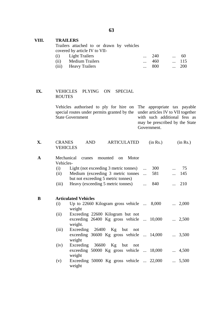#### **VIII. TRAILERS**

Trailers attached to or drawn by vehicles covered by article IV to VII-

| (i) Light Trailers   | $\ldots$ 240 | $\cdots$ | -60          |
|----------------------|--------------|----------|--------------|
| (ii) Medium Trailers | 460          |          | $\dots$ 115  |
| (iii) Heavy Trailers | $\ldots$ 800 |          | $\ldots$ 200 |

#### **IX.** VEHICLES PLYING ON SPECIAL ROUTES

Vehicles authorised to ply for hire on special routes under permits granted by the State Government The appropriate tax payable under articles IV to VII together with such additional fess as

may be prescribed by the State Government.

| X. | <b>CRANES</b>   | AND. | ARTICULATED | (in Rs.) | (in Rs.) |
|----|-----------------|------|-------------|----------|----------|
|    | <b>VEHICLES</b> |      |             |          |          |

| A | Vehicles-   | Mechanical cranes mounted on<br>Motor                                                            |                     |
|---|-------------|--------------------------------------------------------------------------------------------------|---------------------|
|   | (i)<br>(ii) | Light (not exceeding 3 metric tonnes)<br>$\dots$ 300<br>Medium (exceeding 3 metric tonnes<br>581 | 75<br>$\dots$ 145   |
|   | (iii)       | but not exceeding 5 metric tonnes)<br>Heavy (exceeding 5 metric tonnes)<br>840<br>$\cdots$       | 210<br>$\mathbf{r}$ |
| B |             | <b>Articulated Vehicles</b>                                                                      |                     |
|   | (i)         | Up to $22660$ Kilogram gross vehicle $\ldots$ 8,000<br>weight                                    | $\ldots$ 2,000      |
|   | (ii)        | Exceeding 22600 Kilogram but not<br>exceeding 26400 Kg gross vehicle  10,000<br>weight.          | $\ldots$ 2,500      |
|   | (iii)       | Exceeding 26400 Kg but not<br>exceeding 36600 Kg gross vehicle  14,000<br>weight                 | $\ldots$ 3,500      |
|   | (iv)        | Exceeding 36600 Kg but not<br>exceeding 50000 Kg gross vehicle  18,000<br>weight                 | 4,500               |
|   | (v)         | Exceeding 50000 Kg gross vehicle  22,000<br>weight                                               | $\ldots$ 5,500      |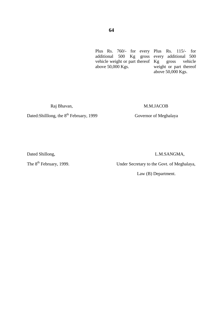Plus Rs. 760/- for every Plus Rs. 115/- for additional 500 Kg gross vehicle weight or part thereof above 50,000 Kgs. every additional 500 Kg gross vehicle weight or part thereof above 50,000 Kgs.

#### Raj Bhavan, M.M.JACOB

Dated:Shilllong, the 8<sup>th</sup> February, 1999 Governor of Meghalaya

Dated Shillong, L.M.SANGMA,

The 8<sup>th</sup> February, 1999. Under Secretary to the Govt. of Meghalaya,

Law (B) Department.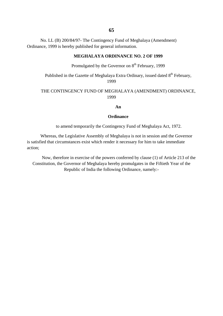No. LL (B) 200/84/97- The Contingency Fund of Meghalaya (Amendment) Ordinance, 1999 is hereby published for general information.

#### **MEGHALAYA ORDINANCE NO. 2 OF 1999**

Promulgated by the Governor on  $8<sup>th</sup>$  February, 1999

Published in the Gazette of Meghalaya Extra Ordinary, issued dated  $8<sup>th</sup>$  February, 1999

#### THE CONTINGENCY FUND OF MEGHALAYA (AMENDMENT) ORDINANCE, 1999

**An**

#### **Ordinance**

to amend temporarily the Contingency Fund of Meghalaya Act, 1972.

Whereas, the Legislative Assembly of Meghalaya is not in session and the Governor is satisfied that circumstances exist which render it necessary for him to take immediate action;

Now, therefore in exercise of the powers conferred by clause (1) of Article 213 of the Constitution, the Governor of Meghalaya hereby promulgates in the Fiftieth Year of the Republic of India the following Ordinance, namely:-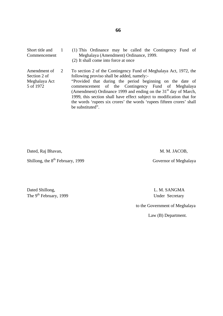Short title and Commencement Amendment of Section 2 of Meghalaya Act 5 of 1972 1 2 (1) This Ordinance may be called the Contingency Fund of Meghalaya (Amendment) Ordinance, 1999. (2) It shall come into force at once To section 2 of the Contingency Fund of Meghalaya Act, 1972, the following proviso shall be added, namely:- "Provided that during the period beginning on the date of commencement of the Contingency Fund of Meghalaya (Amendment) Ordinance 1999 and ending on the  $31<sup>st</sup>$  day of March, 1999, this section shall have effect subject to modification that for the words 'rupees six crores' the words 'rupees fifteen crores' shall be substituted".

Dated, Raj Bhavan, M. M. JACOB,

Shillong, the 8<sup>th</sup> February, 1999 Governor of Meghalaya

Dated Shillong, L. M. SANGMA The 9<sup>th</sup> February, 1999 Under Secretary

to the Government of Meghalaya

Law (B) Department.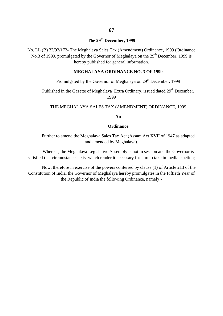### **The 29th December, 1999**

No. LL (B) 32/92/172- The Meghalaya Sales Tax (Amendment) Ordinance, 1999 (Ordinance No.3 of 1999, promulgated by the Governor of Meghalaya on the  $29<sup>th</sup>$  December, 1999 is hereby published for general information.

#### **MEGHALAYA ORDINANCE NO. 3 OF 1999**

Promulgated by the Governor of Meghalaya on 29<sup>th</sup> December, 1999

Published in the Gazette of Meghalaya Extra Ordinary, issued dated 29<sup>th</sup> December, 1999

#### THE MEGHALAYA SALES TAX (AMENDMENT) ORDINANCE, 1999

**An**

#### **Ordinance**

Further to amend the Meghalaya Sales Tax Act (Assam Act XVII of 1947 as adapted and amended by Meghalaya).

Whereas, the Meghalaya Legislative Assembly is not in session and the Governor is satisfied that circumstances exist which render it necessary for him to take immediate action;

Now, therefore in exercise of the powers conferred by clause (1) of Article 213 of the Constitution of India, the Governor of Meghalaya hereby promulgates in the Fiftieth Year of the Republic of India the following Ordinance, namely:-